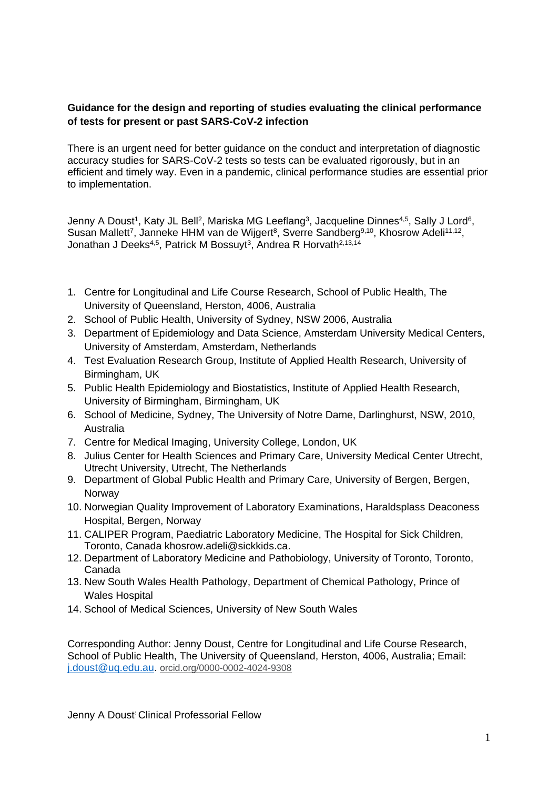## **Guidance for the design and reporting of studies evaluating the clinical performance of tests for present or past SARS-CoV-2 infection**

There is an urgent need for better guidance on the conduct and interpretation of diagnostic accuracy studies for SARS-CoV-2 tests so tests can be evaluated rigorously, but in an efficient and timely way. Even in a pandemic, clinical performance studies are essential prior to implementation.

Jenny A Doust<sup>1</sup>, Katy JL Bell<sup>2</sup>, Mariska MG Leeflang<sup>3</sup>, Jacqueline Dinnes<sup>4,5</sup>, Sally J Lord<sup>6</sup>, Susan Mallett<sup>7</sup>, Janneke HHM van de Wijgert<sup>8</sup>, Sverre Sandberg<sup>9,10</sup>, Khosrow Adeli<sup>11,12</sup>, Jonathan J Deeks<sup>4,5</sup>, Patrick M Bossuyt<sup>3</sup>, Andrea R Horvath<sup>2,13,14</sup>

- 1. Centre for Longitudinal and Life Course Research, School of Public Health, The University of Queensland, Herston, 4006, Australia
- 2. School of Public Health, University of Sydney, NSW 2006, Australia
- 3. Department of Epidemiology and Data Science, Amsterdam University Medical Centers, University of Amsterdam, Amsterdam, Netherlands
- 4. Test Evaluation Research Group, Institute of Applied Health Research, University of Birmingham, UK
- 5. Public Health Epidemiology and Biostatistics, Institute of Applied Health Research, University of Birmingham, Birmingham, UK
- 6. School of Medicine, Sydney, The University of Notre Dame, Darlinghurst, NSW, 2010, Australia
- 7. Centre for Medical Imaging, University College, London, UK
- 8. Julius Center for Health Sciences and Primary Care, University Medical Center Utrecht, Utrecht University, Utrecht, The Netherlands
- 9. Department of Global Public Health and Primary Care, University of Bergen, Bergen, Norway
- 10. Norwegian Quality Improvement of Laboratory Examinations, Haraldsplass Deaconess Hospital, Bergen, Norway
- 11. CALIPER Program, Paediatric Laboratory Medicine, The Hospital for Sick Children, Toronto, Canada khosrow.adeli@sickkids.ca.
- 12. Department of Laboratory Medicine and Pathobiology, University of Toronto, Toronto, Canada
- 13. New South Wales Health Pathology, Department of Chemical Pathology, Prince of Wales Hospital
- 14. School of Medical Sciences, University of New South Wales

Corresponding Author: Jenny Doust, Centre for Longitudinal and Life Course Research, School of Public Health, The University of Queensland, Herston, 4006, Australia; Email: [j.doust@uq.edu.au.](mailto:j.doust@uq.edu.au) [orcid.org/0000-0002-4024-9308](http://orcid.org/0000-0002-4024-9308)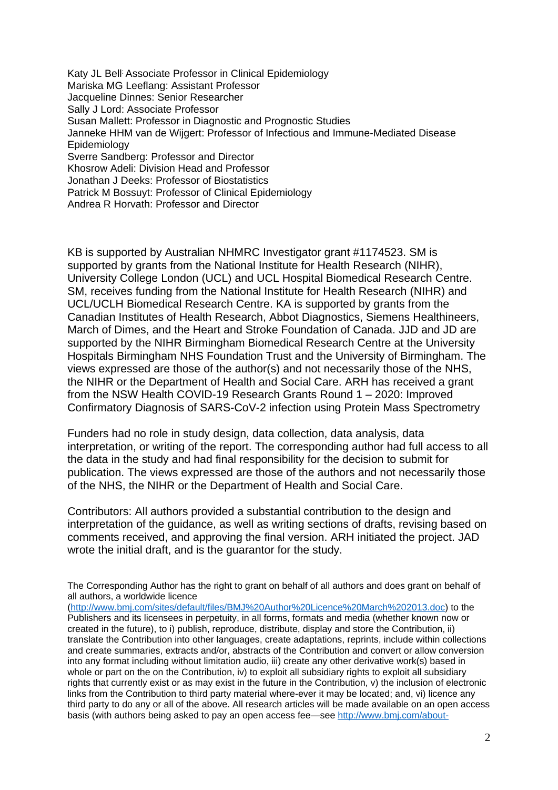Katy JL Bell: Associate Professor in Clinical Epidemiology Mariska MG Leeflang: Assistant Professor Jacqueline Dinnes: Senior Researcher Sally J Lord: Associate Professor Susan Mallett: Professor in Diagnostic and Prognostic Studies Janneke HHM van de Wijgert: Professor of Infectious and Immune-Mediated Disease Epidemiology Sverre Sandberg: Professor and Director Khosrow Adeli: Division Head and Professor Jonathan J Deeks: Professor of Biostatistics Patrick M Bossuyt: Professor of Clinical Epidemiology Andrea R Horvath: Professor and Director

KB is supported by Australian NHMRC Investigator grant #1174523. SM is supported by grants from the National Institute for Health Research (NIHR), University College London (UCL) and UCL Hospital Biomedical Research Centre. SM, receives funding from the National Institute for Health Research (NIHR) and UCL/UCLH Biomedical Research Centre. KA is supported by grants from the Canadian Institutes of Health Research, Abbot Diagnostics, Siemens Healthineers, March of Dimes, and the Heart and Stroke Foundation of Canada. JJD and JD are supported by the NIHR Birmingham Biomedical Research Centre at the University Hospitals Birmingham NHS Foundation Trust and the University of Birmingham. The views expressed are those of the author(s) and not necessarily those of the NHS, the NIHR or the Department of Health and Social Care. ARH has received a grant from the NSW Health COVID-19 Research Grants Round 1 – 2020: Improved Confirmatory Diagnosis of SARS-CoV-2 infection using Protein Mass Spectrometry

Funders had no role in study design, data collection, data analysis, data interpretation, or writing of the report. The corresponding author had full access to all the data in the study and had final responsibility for the decision to submit for publication. The views expressed are those of the authors and not necessarily those of the NHS, the NIHR or the Department of Health and Social Care.

Contributors: All authors provided a substantial contribution to the design and interpretation of the guidance, as well as writing sections of drafts, revising based on comments received, and approving the final version. ARH initiated the project. JAD wrote the initial draft, and is the guarantor for the study.

The Corresponding Author has the right to grant on behalf of all authors and does grant on behalf of all authors, a worldwide licence

[\(http://www.bmj.com/sites/default/files/BMJ%20Author%20Licence%20March%202013.doc\)](http://www.bmj.com/sites/default/files/BMJ%20Author%20Licence%20March%202013.doc) to the Publishers and its licensees in perpetuity, in all forms, formats and media (whether known now or created in the future), to i) publish, reproduce, distribute, display and store the Contribution, ii) translate the Contribution into other languages, create adaptations, reprints, include within collections and create summaries, extracts and/or, abstracts of the Contribution and convert or allow conversion into any format including without limitation audio, iii) create any other derivative work(s) based in whole or part on the on the Contribution, iv) to exploit all subsidiary rights to exploit all subsidiary rights that currently exist or as may exist in the future in the Contribution, v) the inclusion of electronic links from the Contribution to third party material where-ever it may be located; and, vi) licence any third party to do any or all of the above. All research articles will be made available on an open access basis (with authors being asked to pay an open access fee—see [http://www.bmj.com/about-](http://www.bmj.com/about-bmj/resources-authors/forms-policies-and-checklists/copyright-open-access-and-permission-reuse)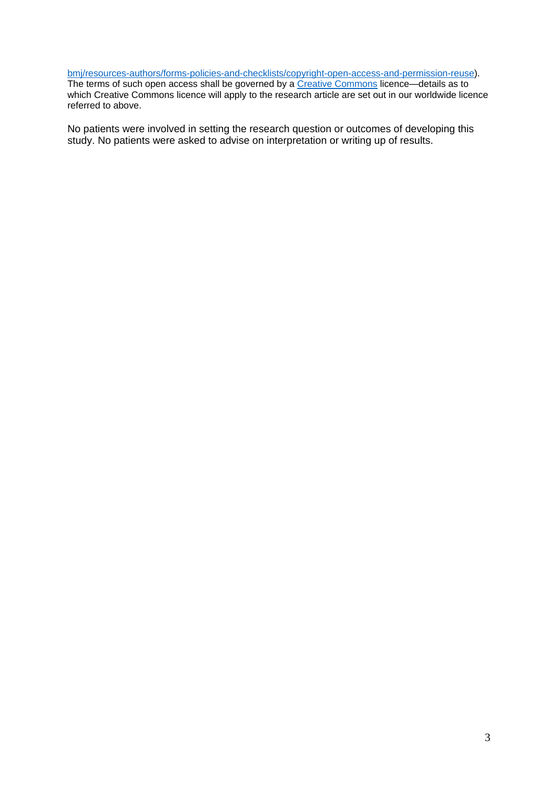#### [bmj/resources-authors/forms-policies-and-checklists/copyright-open-access-and-permission-reuse\)](http://www.bmj.com/about-bmj/resources-authors/forms-policies-and-checklists/copyright-open-access-and-permission-reuse).

The terms of such open access shall be governed by a [Creative Commons](http://creativecommons.org/) licence—details as to which Creative Commons licence will apply to the research article are set out in our worldwide licence referred to above.

No patients were involved in setting the research question or outcomes of developing this study. No patients were asked to advise on interpretation or writing up of results.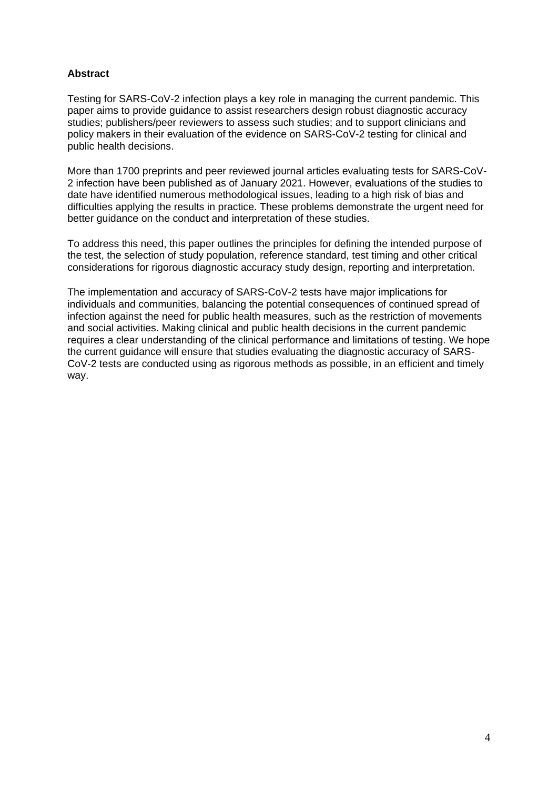## **Abstract**

Testing for SARS-CoV-2 infection plays a key role in managing the current pandemic. This paper aims to provide guidance to assist researchers design robust diagnostic accuracy studies; publishers/peer reviewers to assess such studies; and to support clinicians and policy makers in their evaluation of the evidence on SARS-CoV-2 testing for clinical and public health decisions.

More than 1700 preprints and peer reviewed journal articles evaluating tests for SARS-CoV-2 infection have been published as of January 2021. However, evaluations of the studies to date have identified numerous methodological issues, leading to a high risk of bias and difficulties applying the results in practice. These problems demonstrate the urgent need for better guidance on the conduct and interpretation of these studies.

To address this need, this paper outlines the principles for defining the intended purpose of the test, the selection of study population, reference standard, test timing and other critical considerations for rigorous diagnostic accuracy study design, reporting and interpretation.

The implementation and accuracy of SARS-CoV-2 tests have major implications for individuals and communities, balancing the potential consequences of continued spread of infection against the need for public health measures, such as the restriction of movements and social activities. Making clinical and public health decisions in the current pandemic requires a clear understanding of the clinical performance and limitations of testing. We hope the current guidance will ensure that studies evaluating the diagnostic accuracy of SARS-CoV-2 tests are conducted using as rigorous methods as possible, in an efficient and timely way.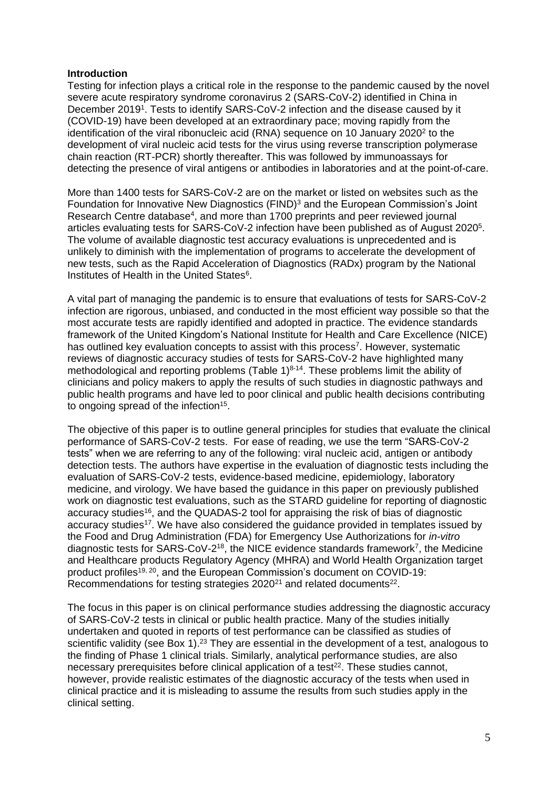### **Introduction**

Testing for infection plays a critical role in the response to the pandemic caused by the novel severe acute respiratory syndrome coronavirus 2 (SARS-CoV-2) identified in China in December 2019<sup>1</sup>. Tests to identify SARS-CoV-2 infection and the disease caused by it (COVID-19) have been developed at an extraordinary pace; moving rapidly from the identification of the viral ribonucleic acid (RNA) sequence on 10 January 2020<sup>2</sup> to the development of viral nucleic acid tests for the virus using reverse transcription polymerase chain reaction (RT-PCR) shortly thereafter. This was followed by immunoassays for detecting the presence of viral antigens or antibodies in laboratories and at the point-of-care.

More than 1400 tests for SARS-CoV-2 are on the market or listed on websites such as the Foundation for Innovative New Diagnostics (FIND)<sup>3</sup> and the European Commission's Joint Research Centre database<sup>4</sup>, and more than 1700 preprints and peer reviewed journal articles evaluating tests for SARS-CoV-2 infection have been published as of August 2020<sup>5</sup>. The volume of available diagnostic test accuracy evaluations is unprecedented and is unlikely to diminish with the implementation of programs to accelerate the development of new tests, such as the Rapid Acceleration of Diagnostics (RADx) program by the National Institutes of Health in the United States<sup>6</sup>.

A vital part of managing the pandemic is to ensure that evaluations of tests for SARS-CoV-2 infection are rigorous, unbiased, and conducted in the most efficient way possible so that the most accurate tests are rapidly identified and adopted in practice. The evidence standards framework of the United Kingdom's National Institute for Health and Care Excellence (NICE) has outlined key evaluation concepts to assist with this process<sup>7</sup>. However, systematic reviews of diagnostic accuracy studies of tests for SARS-CoV-2 have highlighted many methodological and reporting problems (Table  $1)^{8\t{-}14}$ . These problems limit the ability of clinicians and policy makers to apply the results of such studies in diagnostic pathways and public health programs and have led to poor clinical and public health decisions contributing to ongoing spread of the infection<sup>15</sup>.

The objective of this paper is to outline general principles for studies that evaluate the clinical performance of SARS-CoV-2 tests. For ease of reading, we use the term "SARS-CoV-2 tests" when we are referring to any of the following: viral nucleic acid, antigen or antibody detection tests. The authors have expertise in the evaluation of diagnostic tests including the evaluation of SARS-CoV-2 tests, evidence-based medicine, epidemiology, laboratory medicine, and virology. We have based the guidance in this paper on previously published work on diagnostic test evaluations, such as the STARD guideline for reporting of diagnostic accuracy studies<sup>16</sup>, and the QUADAS-2 tool for appraising the risk of bias of diagnostic accuracy studies<sup>17</sup>. We have also considered the guidance provided in templates issued by the Food and Drug Administration (FDA) for Emergency Use Authorizations for *in-vitro* diagnostic tests for SARS-CoV-2<sup>18</sup>, the NICE evidence standards framework<sup>7</sup>, the Medicine and Healthcare products Regulatory Agency (MHRA) and World Health Organization target product profiles19, 20, and the European Commission's document on COVID-19: Recommendations for testing strategies  $2020^{21}$  and related documents<sup>22</sup>.

The focus in this paper is on clinical performance studies addressing the diagnostic accuracy of SARS-CoV-2 tests in clinical or public health practice. Many of the studies initially undertaken and quoted in reports of test performance can be classified as studies of scientific validity (see Box 1).<sup>23</sup> They are essential in the development of a test, analogous to the finding of Phase 1 clinical trials. Similarly, analytical performance studies, are also necessary prerequisites before clinical application of a test<sup>22</sup>. These studies cannot, however, provide realistic estimates of the diagnostic accuracy of the tests when used in clinical practice and it is misleading to assume the results from such studies apply in the clinical setting.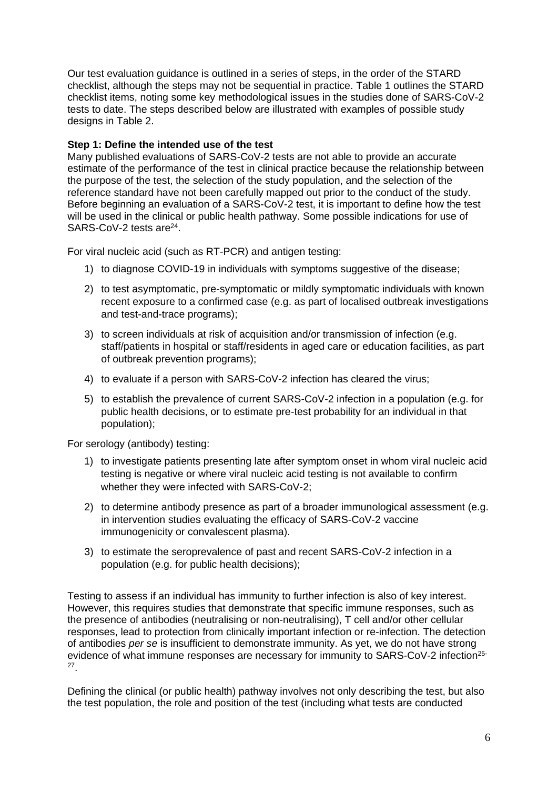Our test evaluation guidance is outlined in a series of steps, in the order of the STARD checklist, although the steps may not be sequential in practice. Table 1 outlines the STARD checklist items, noting some key methodological issues in the studies done of SARS-CoV-2 tests to date. The steps described below are illustrated with examples of possible study designs in Table 2.

## **Step 1: Define the intended use of the test**

Many published evaluations of SARS-CoV-2 tests are not able to provide an accurate estimate of the performance of the test in clinical practice because the relationship between the purpose of the test, the selection of the study population, and the selection of the reference standard have not been carefully mapped out prior to the conduct of the study. Before beginning an evaluation of a SARS-CoV-2 test, it is important to define how the test will be used in the clinical or public health pathway. Some possible indications for use of SARS-CoV-2 tests are<sup>24</sup>.

For viral nucleic acid (such as RT-PCR) and antigen testing:

- 1) to diagnose COVID-19 in individuals with symptoms suggestive of the disease;
- 2) to test asymptomatic, pre-symptomatic or mildly symptomatic individuals with known recent exposure to a confirmed case (e.g. as part of localised outbreak investigations and test-and-trace programs);
- 3) to screen individuals at risk of acquisition and/or transmission of infection (e.g. staff/patients in hospital or staff/residents in aged care or education facilities, as part of outbreak prevention programs);
- 4) to evaluate if a person with SARS-CoV-2 infection has cleared the virus;
- 5) to establish the prevalence of current SARS-CoV-2 infection in a population (e.g. for public health decisions, or to estimate pre-test probability for an individual in that population);

For serology (antibody) testing:

- 1) to investigate patients presenting late after symptom onset in whom viral nucleic acid testing is negative or where viral nucleic acid testing is not available to confirm whether they were infected with SARS-CoV-2;
- 2) to determine antibody presence as part of a broader immunological assessment (e.g. in intervention studies evaluating the efficacy of SARS-CoV-2 vaccine immunogenicity or convalescent plasma).
- 3) to estimate the seroprevalence of past and recent SARS-CoV-2 infection in a population (e.g. for public health decisions);

Testing to assess if an individual has immunity to further infection is also of key interest. However, this requires studies that demonstrate that specific immune responses, such as the presence of antibodies (neutralising or non-neutralising), T cell and/or other cellular responses, lead to protection from clinically important infection or re-infection. The detection of antibodies *per se* is insufficient to demonstrate immunity. As yet, we do not have strong evidence of what immune responses are necessary for immunity to SARS-CoV-2 infection<sup>25-</sup> 27 .

Defining the clinical (or public health) pathway involves not only describing the test, but also the test population, the role and position of the test (including what tests are conducted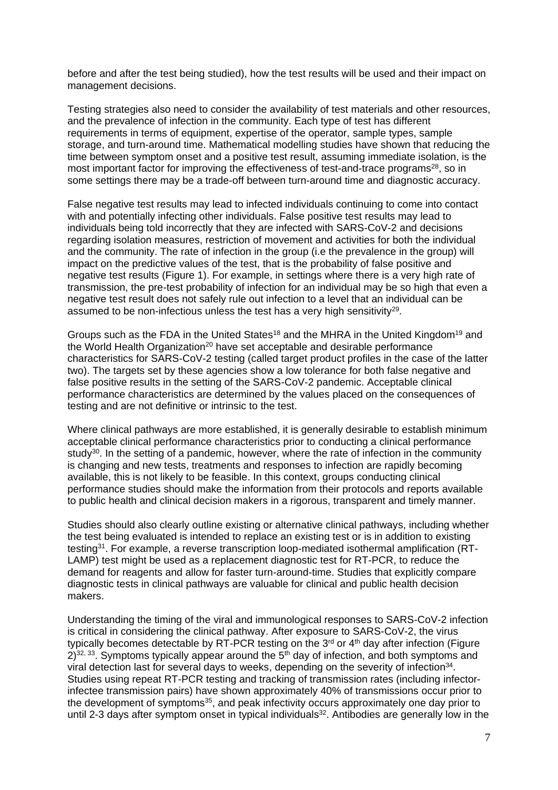before and after the test being studied), how the test results will be used and their impact on management decisions.

Testing strategies also need to consider the availability of test materials and other resources, and the prevalence of infection in the community. Each type of test has different requirements in terms of equipment, expertise of the operator, sample types, sample storage, and turn-around time. Mathematical modelling studies have shown that reducing the time between symptom onset and a positive test result, assuming immediate isolation, is the most important factor for improving the effectiveness of test-and-trace programs<sup>28</sup>, so in some settings there may be a trade-off between turn-around time and diagnostic accuracy.

False negative test results may lead to infected individuals continuing to come into contact with and potentially infecting other individuals. False positive test results may lead to individuals being told incorrectly that they are infected with SARS-CoV-2 and decisions regarding isolation measures, restriction of movement and activities for both the individual and the community. The rate of infection in the group (i.e the prevalence in the group) will impact on the predictive values of the test, that is the probability of false positive and negative test results (Figure 1). For example, in settings where there is a very high rate of transmission, the pre-test probability of infection for an individual may be so high that even a negative test result does not safely rule out infection to a level that an individual can be assumed to be non-infectious unless the test has a very high sensitivity<sup>29</sup>.

Groups such as the FDA in the United States<sup>18</sup> and the MHRA in the United Kingdom<sup>19</sup> and the World Health Organization<sup>20</sup> have set acceptable and desirable performance characteristics for SARS-CoV-2 testing (called target product profiles in the case of the latter two). The targets set by these agencies show a low tolerance for both false negative and false positive results in the setting of the SARS-CoV-2 pandemic. Acceptable clinical performance characteristics are determined by the values placed on the consequences of testing and are not definitive or intrinsic to the test.

Where clinical pathways are more established, it is generally desirable to establish minimum acceptable clinical performance characteristics prior to conducting a clinical performance study<sup>30</sup>. In the setting of a pandemic, however, where the rate of infection in the community is changing and new tests, treatments and responses to infection are rapidly becoming available, this is not likely to be feasible. In this context, groups conducting clinical performance studies should make the information from their protocols and reports available to public health and clinical decision makers in a rigorous, transparent and timely manner.

Studies should also clearly outline existing or alternative clinical pathways, including whether the test being evaluated is intended to replace an existing test or is in addition to existing testing<sup>31</sup>. For example, a reverse transcription loop-mediated isothermal amplification (RT-LAMP) test might be used as a replacement diagnostic test for RT-PCR, to reduce the demand for reagents and allow for faster turn-around-time. Studies that explicitly compare diagnostic tests in clinical pathways are valuable for clinical and public health decision makers.

Understanding the timing of the viral and immunological responses to SARS-CoV-2 infection is critical in considering the clinical pathway. After exposure to SARS-CoV-2, the virus typically becomes detectable by RT-PCR testing on the  $3<sup>rd</sup>$  or  $4<sup>th</sup>$  day after infection (Figure  $2$ )<sup>32, 33</sup>. Symptoms typically appear around the 5<sup>th</sup> day of infection, and both symptoms and viral detection last for several days to weeks, depending on the severity of infection<sup>34</sup>. Studies using repeat RT-PCR testing and tracking of transmission rates (including infectorinfectee transmission pairs) have shown approximately 40% of transmissions occur prior to the development of symptoms<sup>35</sup>, and peak infectivity occurs approximately one day prior to until 2-3 days after symptom onset in typical individuals $32$ . Antibodies are generally low in the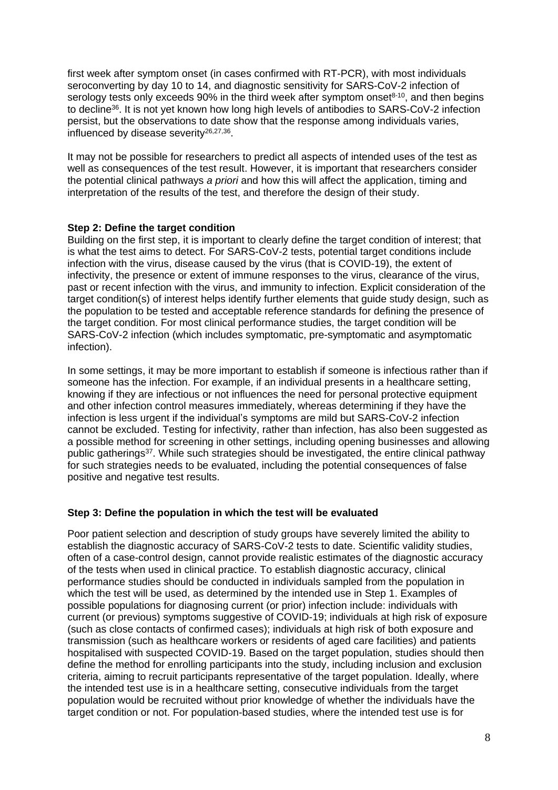first week after symptom onset (in cases confirmed with RT-PCR), with most individuals seroconverting by day 10 to 14, and diagnostic sensitivity for SARS-CoV-2 infection of serology tests only exceeds 90% in the third week after symptom onset $8-10$ , and then begins to decline<sup>36</sup>. It is not yet known how long high levels of antibodies to SARS-CoV-2 infection persist, but the observations to date show that the response among individuals varies, influenced by disease severity<sup>26,27,36</sup>.

It may not be possible for researchers to predict all aspects of intended uses of the test as well as consequences of the test result. However, it is important that researchers consider the potential clinical pathways *a priori* and how this will affect the application, timing and interpretation of the results of the test, and therefore the design of their study.

## **Step 2: Define the target condition**

Building on the first step, it is important to clearly define the target condition of interest; that is what the test aims to detect. For SARS-CoV-2 tests, potential target conditions include infection with the virus, disease caused by the virus (that is COVID-19), the extent of infectivity, the presence or extent of immune responses to the virus, clearance of the virus, past or recent infection with the virus, and immunity to infection. Explicit consideration of the target condition(s) of interest helps identify further elements that guide study design, such as the population to be tested and acceptable reference standards for defining the presence of the target condition. For most clinical performance studies, the target condition will be SARS-CoV-2 infection (which includes symptomatic, pre-symptomatic and asymptomatic infection).

In some settings, it may be more important to establish if someone is infectious rather than if someone has the infection. For example, if an individual presents in a healthcare setting, knowing if they are infectious or not influences the need for personal protective equipment and other infection control measures immediately, whereas determining if they have the infection is less urgent if the individual's symptoms are mild but SARS-CoV-2 infection cannot be excluded. Testing for infectivity, rather than infection, has also been suggested as a possible method for screening in other settings, including opening businesses and allowing public gatherings<sup>37</sup>. While such strategies should be investigated, the entire clinical pathway for such strategies needs to be evaluated, including the potential consequences of false positive and negative test results.

## **Step 3: Define the population in which the test will be evaluated**

Poor patient selection and description of study groups have severely limited the ability to establish the diagnostic accuracy of SARS-CoV-2 tests to date. Scientific validity studies, often of a case-control design, cannot provide realistic estimates of the diagnostic accuracy of the tests when used in clinical practice. To establish diagnostic accuracy, clinical performance studies should be conducted in individuals sampled from the population in which the test will be used, as determined by the intended use in Step 1. Examples of possible populations for diagnosing current (or prior) infection include: individuals with current (or previous) symptoms suggestive of COVID-19; individuals at high risk of exposure (such as close contacts of confirmed cases); individuals at high risk of both exposure and transmission (such as healthcare workers or residents of aged care facilities) and patients hospitalised with suspected COVID-19. Based on the target population, studies should then define the method for enrolling participants into the study, including inclusion and exclusion criteria, aiming to recruit participants representative of the target population. Ideally, where the intended test use is in a healthcare setting, consecutive individuals from the target population would be recruited without prior knowledge of whether the individuals have the target condition or not. For population-based studies, where the intended test use is for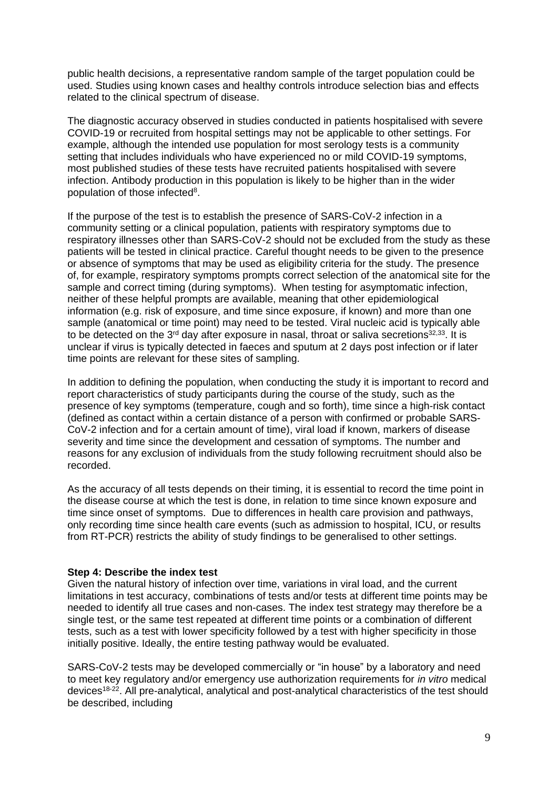public health decisions, a representative random sample of the target population could be used. Studies using known cases and healthy controls introduce selection bias and effects related to the clinical spectrum of disease.

The diagnostic accuracy observed in studies conducted in patients hospitalised with severe COVID-19 or recruited from hospital settings may not be applicable to other settings. For example, although the intended use population for most serology tests is a community setting that includes individuals who have experienced no or mild COVID-19 symptoms, most published studies of these tests have recruited patients hospitalised with severe infection. Antibody production in this population is likely to be higher than in the wider population of those infected<sup>8</sup>.

If the purpose of the test is to establish the presence of SARS-CoV-2 infection in a community setting or a clinical population, patients with respiratory symptoms due to respiratory illnesses other than SARS-CoV-2 should not be excluded from the study as these patients will be tested in clinical practice. Careful thought needs to be given to the presence or absence of symptoms that may be used as eligibility criteria for the study. The presence of, for example, respiratory symptoms prompts correct selection of the anatomical site for the sample and correct timing (during symptoms). When testing for asymptomatic infection, neither of these helpful prompts are available, meaning that other epidemiological information (e.g. risk of exposure, and time since exposure, if known) and more than one sample (anatomical or time point) may need to be tested. Viral nucleic acid is typically able to be detected on the 3<sup>rd</sup> day after exposure in nasal, throat or saliva secretions<sup>32,33</sup>. It is unclear if virus is typically detected in faeces and sputum at 2 days post infection or if later time points are relevant for these sites of sampling.

In addition to defining the population, when conducting the study it is important to record and report characteristics of study participants during the course of the study, such as the presence of key symptoms (temperature, cough and so forth), time since a high-risk contact (defined as contact within a certain distance of a person with confirmed or probable SARS-CoV-2 infection and for a certain amount of time), viral load if known, markers of disease severity and time since the development and cessation of symptoms. The number and reasons for any exclusion of individuals from the study following recruitment should also be recorded.

As the accuracy of all tests depends on their timing, it is essential to record the time point in the disease course at which the test is done, in relation to time since known exposure and time since onset of symptoms. Due to differences in health care provision and pathways, only recording time since health care events (such as admission to hospital, ICU, or results from RT-PCR) restricts the ability of study findings to be generalised to other settings.

#### **Step 4: Describe the index test**

Given the natural history of infection over time, variations in viral load, and the current limitations in test accuracy, combinations of tests and/or tests at different time points may be needed to identify all true cases and non-cases. The index test strategy may therefore be a single test, or the same test repeated at different time points or a combination of different tests, such as a test with lower specificity followed by a test with higher specificity in those initially positive. Ideally, the entire testing pathway would be evaluated.

SARS-CoV-2 tests may be developed commercially or "in house" by a laboratory and need to meet key regulatory and/or emergency use authorization requirements for *in vitro* medical devices18-22. All pre-analytical, analytical and post-analytical characteristics of the test should be described, including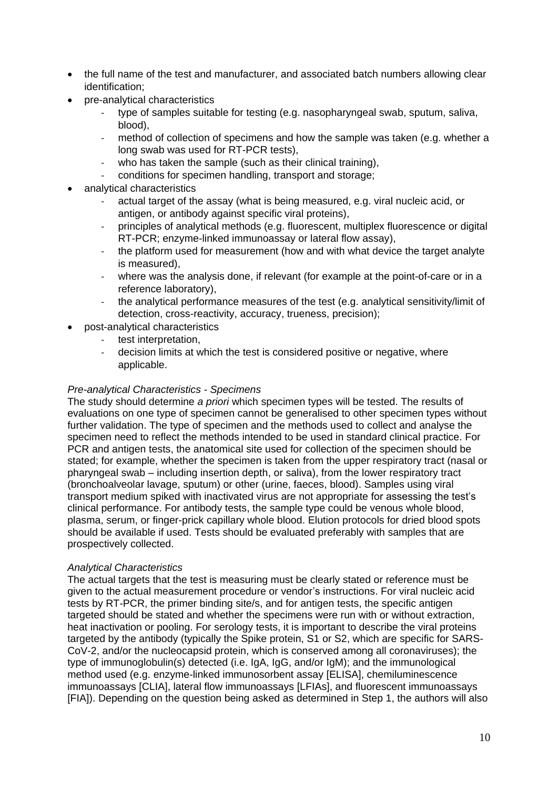- the full name of the test and manufacturer, and associated batch numbers allowing clear identification;
- pre-analytical characteristics
	- type of samples suitable for testing (e.g. nasopharyngeal swab, sputum, saliva, blood),
	- method of collection of specimens and how the sample was taken (e.g. whether a long swab was used for RT-PCR tests),
	- who has taken the sample (such as their clinical training),
	- conditions for specimen handling, transport and storage;
- analytical characteristics
	- actual target of the assay (what is being measured, e.g. viral nucleic acid, or antigen, or antibody against specific viral proteins),
	- principles of analytical methods (e.g. fluorescent, multiplex fluorescence or digital RT-PCR; enzyme-linked immunoassay or lateral flow assay),
	- the platform used for measurement (how and with what device the target analyte is measured),
	- where was the analysis done, if relevant (for example at the point-of-care or in a reference laboratory),
	- the analytical performance measures of the test (e.g. analytical sensitivity/limit of detection, cross-reactivity, accuracy, trueness, precision);
	- post-analytical characteristics
		- test interpretation,
		- decision limits at which the test is considered positive or negative, where applicable.

## *Pre-analytical Characteristics - Specimens*

The study should determine *a priori* which specimen types will be tested. The results of evaluations on one type of specimen cannot be generalised to other specimen types without further validation. The type of specimen and the methods used to collect and analyse the specimen need to reflect the methods intended to be used in standard clinical practice. For PCR and antigen tests, the anatomical site used for collection of the specimen should be stated; for example, whether the specimen is taken from the upper respiratory tract (nasal or pharyngeal swab – including insertion depth, or saliva), from the lower respiratory tract (bronchoalveolar lavage, sputum) or other (urine, faeces, blood). Samples using viral transport medium spiked with inactivated virus are not appropriate for assessing the test's clinical performance. For antibody tests, the sample type could be venous whole blood, plasma, serum, or finger-prick capillary whole blood. Elution protocols for dried blood spots should be available if used. Tests should be evaluated preferably with samples that are prospectively collected.

#### *Analytical Characteristics*

The actual targets that the test is measuring must be clearly stated or reference must be given to the actual measurement procedure or vendor's instructions. For viral nucleic acid tests by RT-PCR, the primer binding site/s, and for antigen tests, the specific antigen targeted should be stated and whether the specimens were run with or without extraction, heat inactivation or pooling. For serology tests, it is important to describe the viral proteins targeted by the antibody (typically the Spike protein, S1 or S2, which are specific for SARS-CoV-2, and/or the nucleocapsid protein, which is conserved among all coronaviruses); the type of immunoglobulin(s) detected (i.e. IgA, IgG, and/or IgM); and the immunological method used (e.g. enzyme-linked immunosorbent assay [ELISA], chemiluminescence immunoassays [CLIA], lateral flow immunoassays [LFIAs], and fluorescent immunoassays [FIA]). Depending on the question being asked as determined in Step 1, the authors will also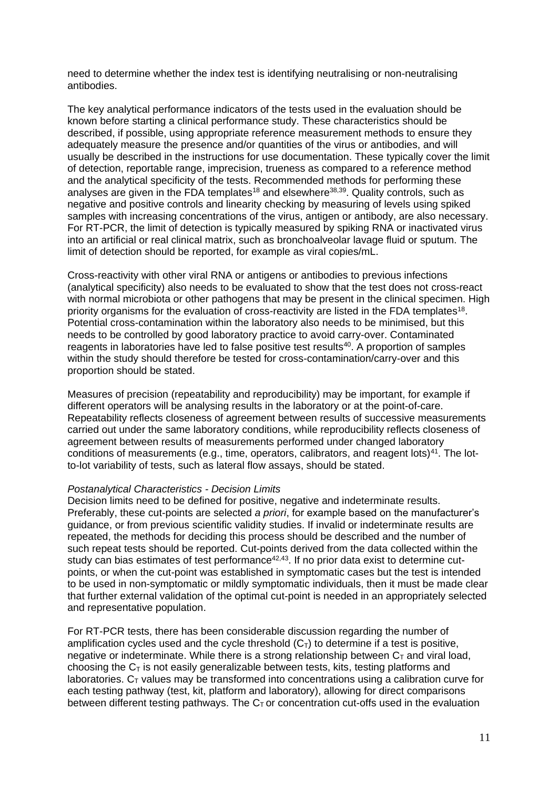need to determine whether the index test is identifying neutralising or non-neutralising antibodies.

The key analytical performance indicators of the tests used in the evaluation should be known before starting a clinical performance study. These characteristics should be described, if possible, using appropriate reference measurement methods to ensure they adequately measure the presence and/or quantities of the virus or antibodies, and will usually be described in the instructions for use documentation. These typically cover the limit of detection, reportable range, imprecision, trueness as compared to a reference method and the analytical specificity of the tests. Recommended methods for performing these analyses are given in the FDA templates<sup>18</sup> and elsewhere<sup>38,39</sup>. Quality controls, such as negative and positive controls and linearity checking by measuring of levels using spiked samples with increasing concentrations of the virus, antigen or antibody, are also necessary. For RT-PCR, the limit of detection is typically measured by spiking RNA or inactivated virus into an artificial or real clinical matrix, such as bronchoalveolar lavage fluid or sputum. The limit of detection should be reported, for example as viral copies/mL.

Cross-reactivity with other viral RNA or antigens or antibodies to previous infections (analytical specificity) also needs to be evaluated to show that the test does not cross-react with normal microbiota or other pathogens that may be present in the clinical specimen. High priority organisms for the evaluation of cross-reactivity are listed in the FDA templates<sup>18</sup>. Potential cross-contamination within the laboratory also needs to be minimised, but this needs to be controlled by good laboratory practice to avoid carry-over. Contaminated reagents in laboratories have led to false positive test results<sup>40</sup>. A proportion of samples within the study should therefore be tested for cross-contamination/carry-over and this proportion should be stated.

Measures of precision (repeatability and reproducibility) may be important, for example if different operators will be analysing results in the laboratory or at the point-of-care. Repeatability reflects closeness of agreement between results of successive measurements carried out under the same laboratory conditions, while reproducibility reflects closeness of agreement between results of measurements performed under changed laboratory conditions of measurements (e.g., time, operators, calibrators, and reagent lots)<sup>41</sup>. The lotto-lot variability of tests, such as lateral flow assays, should be stated.

#### *Postanalytical Characteristics - Decision Limits*

Decision limits need to be defined for positive, negative and indeterminate results. Preferably, these cut-points are selected *a priori*, for example based on the manufacturer's guidance, or from previous scientific validity studies. If invalid or indeterminate results are repeated, the methods for deciding this process should be described and the number of such repeat tests should be reported. Cut-points derived from the data collected within the study can bias estimates of test performance<sup>42,43</sup>. If no prior data exist to determine cutpoints, or when the cut-point was established in symptomatic cases but the test is intended to be used in non-symptomatic or mildly symptomatic individuals, then it must be made clear that further external validation of the optimal cut-point is needed in an appropriately selected and representative population.

For RT-PCR tests, there has been considerable discussion regarding the number of amplification cycles used and the cycle threshold  $(C<sub>T</sub>)$  to determine if a test is positive, negative or indeterminate. While there is a strong relationship between  $C<sub>T</sub>$  and viral load, choosing the  $C_T$  is not easily generalizable between tests, kits, testing platforms and laboratories.  $C_T$  values may be transformed into concentrations using a calibration curve for each testing pathway (test, kit, platform and laboratory), allowing for direct comparisons between different testing pathways. The  $C<sub>T</sub>$  or concentration cut-offs used in the evaluation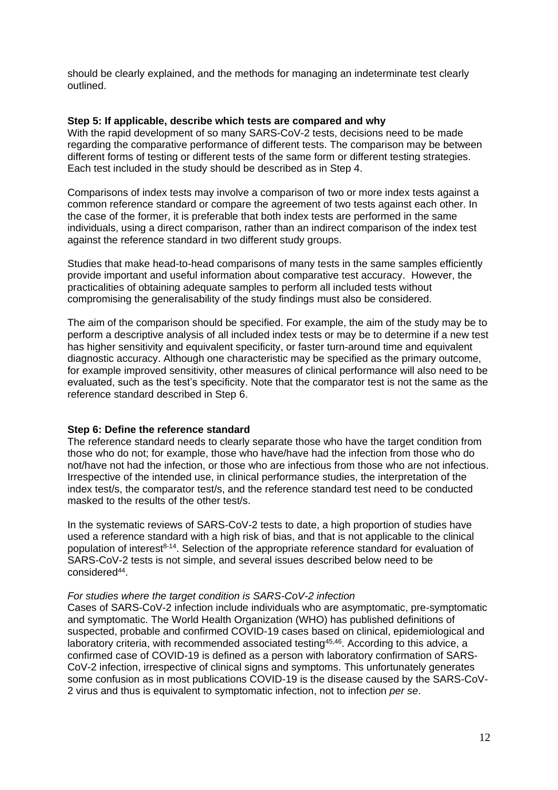should be clearly explained, and the methods for managing an indeterminate test clearly outlined.

### **Step 5: If applicable, describe which tests are compared and why**

With the rapid development of so many SARS-CoV-2 tests, decisions need to be made regarding the comparative performance of different tests. The comparison may be between different forms of testing or different tests of the same form or different testing strategies. Each test included in the study should be described as in Step 4.

Comparisons of index tests may involve a comparison of two or more index tests against a common reference standard or compare the agreement of two tests against each other. In the case of the former, it is preferable that both index tests are performed in the same individuals, using a direct comparison, rather than an indirect comparison of the index test against the reference standard in two different study groups.

Studies that make head-to-head comparisons of many tests in the same samples efficiently provide important and useful information about comparative test accuracy. However, the practicalities of obtaining adequate samples to perform all included tests without compromising the generalisability of the study findings must also be considered.

The aim of the comparison should be specified. For example, the aim of the study may be to perform a descriptive analysis of all included index tests or may be to determine if a new test has higher sensitivity and equivalent specificity, or faster turn-around time and equivalent diagnostic accuracy. Although one characteristic may be specified as the primary outcome, for example improved sensitivity, other measures of clinical performance will also need to be evaluated, such as the test's specificity. Note that the comparator test is not the same as the reference standard described in Step 6.

## **Step 6: Define the reference standard**

The reference standard needs to clearly separate those who have the target condition from those who do not; for example, those who have/have had the infection from those who do not/have not had the infection, or those who are infectious from those who are not infectious. Irrespective of the intended use, in clinical performance studies, the interpretation of the index test/s, the comparator test/s, and the reference standard test need to be conducted masked to the results of the other test/s.

In the systematic reviews of SARS-CoV-2 tests to date, a high proportion of studies have used a reference standard with a high risk of bias, and that is not applicable to the clinical population of interest<sup>8-14</sup>. Selection of the appropriate reference standard for evaluation of SARS-CoV-2 tests is not simple, and several issues described below need to be considered<sup>44</sup>.

### *For studies where the target condition is SARS-CoV-2 infection*

Cases of SARS-CoV-2 infection include individuals who are asymptomatic, pre-symptomatic and symptomatic. The World Health Organization (WHO) has published definitions of suspected, probable and confirmed COVID-19 cases based on clinical, epidemiological and laboratory criteria, with recommended associated testing<sup>45,46</sup>. According to this advice, a confirmed case of COVID-19 is defined as a person with laboratory confirmation of SARS-CoV-2 infection, irrespective of clinical signs and symptoms. This unfortunately generates some confusion as in most publications COVID-19 is the disease caused by the SARS-CoV-2 virus and thus is equivalent to symptomatic infection, not to infection *per se*.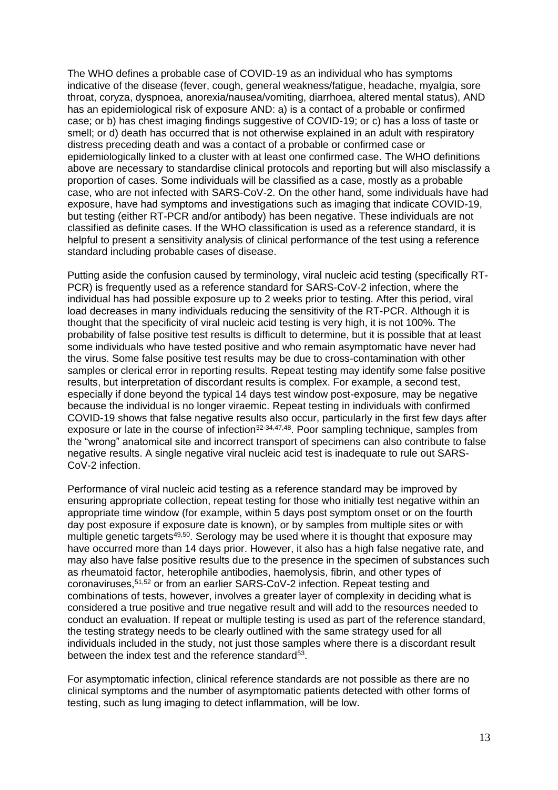The WHO defines a probable case of COVID-19 as an individual who has symptoms indicative of the disease (fever, cough, general weakness/fatigue, headache, myalgia, sore throat, coryza, dyspnoea, anorexia/nausea/vomiting, diarrhoea, altered mental status), AND has an epidemiological risk of exposure AND; a) is a contact of a probable or confirmed case; or b) has chest imaging findings suggestive of COVID-19; or c) has a loss of taste or smell; or d) death has occurred that is not otherwise explained in an adult with respiratory distress preceding death and was a contact of a probable or confirmed case or epidemiologically linked to a cluster with at least one confirmed case. The WHO definitions above are necessary to standardise clinical protocols and reporting but will also misclassify a proportion of cases. Some individuals will be classified as a case, mostly as a probable case, who are not infected with SARS-CoV-2. On the other hand, some individuals have had exposure, have had symptoms and investigations such as imaging that indicate COVID-19, but testing (either RT-PCR and/or antibody) has been negative. These individuals are not classified as definite cases. If the WHO classification is used as a reference standard, it is helpful to present a sensitivity analysis of clinical performance of the test using a reference standard including probable cases of disease.

Putting aside the confusion caused by terminology, viral nucleic acid testing (specifically RT-PCR) is frequently used as a reference standard for SARS-CoV-2 infection, where the individual has had possible exposure up to 2 weeks prior to testing. After this period, viral load decreases in many individuals reducing the sensitivity of the RT-PCR. Although it is thought that the specificity of viral nucleic acid testing is very high, it is not 100%. The probability of false positive test results is difficult to determine, but it is possible that at least some individuals who have tested positive and who remain asymptomatic have never had the virus. Some false positive test results may be due to cross-contamination with other samples or clerical error in reporting results. Repeat testing may identify some false positive results, but interpretation of discordant results is complex. For example, a second test, especially if done beyond the typical 14 days test window post-exposure, may be negative because the individual is no longer viraemic. Repeat testing in individuals with confirmed COVID-19 shows that false negative results also occur, particularly in the first few days after exposure or late in the course of infection<sup>32-34,47,48</sup>. Poor sampling technique, samples from the "wrong" anatomical site and incorrect transport of specimens can also contribute to false negative results. A single negative viral nucleic acid test is inadequate to rule out SARS-CoV-2 infection.

Performance of viral nucleic acid testing as a reference standard may be improved by ensuring appropriate collection, repeat testing for those who initially test negative within an appropriate time window (for example, within 5 days post symptom onset or on the fourth day post exposure if exposure date is known), or by samples from multiple sites or with multiple genetic targets<sup>49,50</sup>. Serology may be used where it is thought that exposure may have occurred more than 14 days prior. However, it also has a high false negative rate, and may also have false positive results due to the presence in the specimen of substances such as rheumatoid factor, heterophile antibodies, haemolysis, fibrin, and other types of coronaviruses, 51,52 or from an earlier SARS-CoV-2 infection. Repeat testing and combinations of tests, however, involves a greater layer of complexity in deciding what is considered a true positive and true negative result and will add to the resources needed to conduct an evaluation. If repeat or multiple testing is used as part of the reference standard, the testing strategy needs to be clearly outlined with the same strategy used for all individuals included in the study, not just those samples where there is a discordant result between the index test and the reference standard<sup>53</sup>.

For asymptomatic infection, clinical reference standards are not possible as there are no clinical symptoms and the number of asymptomatic patients detected with other forms of testing, such as lung imaging to detect inflammation, will be low.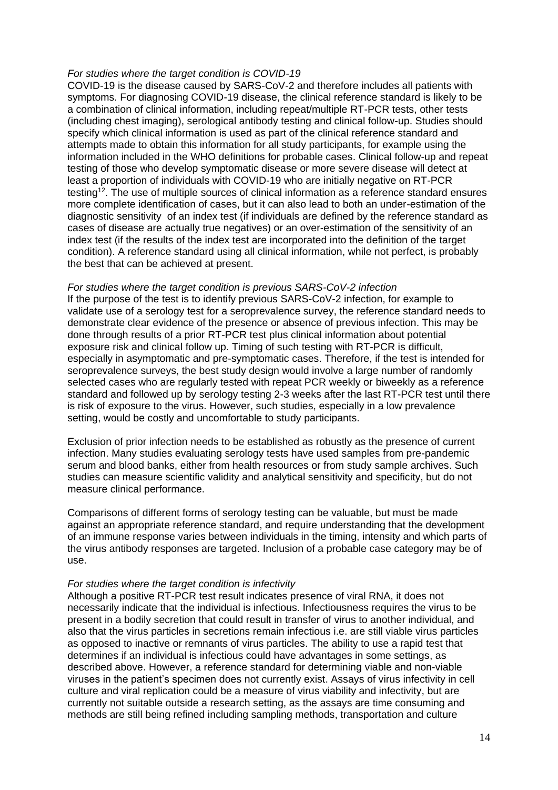#### *For studies where the target condition is COVID-19*

COVID-19 is the disease caused by SARS-CoV-2 and therefore includes all patients with symptoms. For diagnosing COVID-19 disease, the clinical reference standard is likely to be a combination of clinical information, including repeat/multiple RT-PCR tests, other tests (including chest imaging), serological antibody testing and clinical follow-up. Studies should specify which clinical information is used as part of the clinical reference standard and attempts made to obtain this information for all study participants, for example using the information included in the WHO definitions for probable cases. Clinical follow-up and repeat testing of those who develop symptomatic disease or more severe disease will detect at least a proportion of individuals with COVID-19 who are initially negative on RT-PCR testing<sup>12</sup>. The use of multiple sources of clinical information as a reference standard ensures more complete identification of cases, but it can also lead to both an under-estimation of the diagnostic sensitivity of an index test (if individuals are defined by the reference standard as cases of disease are actually true negatives) or an over-estimation of the sensitivity of an index test (if the results of the index test are incorporated into the definition of the target condition). A reference standard using all clinical information, while not perfect, is probably the best that can be achieved at present.

#### *For studies where the target condition is previous SARS-CoV-2 infection*

If the purpose of the test is to identify previous SARS-CoV-2 infection, for example to validate use of a serology test for a seroprevalence survey, the reference standard needs to demonstrate clear evidence of the presence or absence of previous infection. This may be done through results of a prior RT-PCR test plus clinical information about potential exposure risk and clinical follow up. Timing of such testing with RT-PCR is difficult, especially in asymptomatic and pre-symptomatic cases. Therefore, if the test is intended for seroprevalence surveys, the best study design would involve a large number of randomly selected cases who are regularly tested with repeat PCR weekly or biweekly as a reference standard and followed up by serology testing 2-3 weeks after the last RT-PCR test until there is risk of exposure to the virus. However, such studies, especially in a low prevalence setting, would be costly and uncomfortable to study participants.

Exclusion of prior infection needs to be established as robustly as the presence of current infection. Many studies evaluating serology tests have used samples from pre-pandemic serum and blood banks, either from health resources or from study sample archives. Such studies can measure scientific validity and analytical sensitivity and specificity, but do not measure clinical performance.

Comparisons of different forms of serology testing can be valuable, but must be made against an appropriate reference standard, and require understanding that the development of an immune response varies between individuals in the timing, intensity and which parts of the virus antibody responses are targeted. Inclusion of a probable case category may be of use.

#### *For studies where the target condition is infectivity*

Although a positive RT-PCR test result indicates presence of viral RNA, it does not necessarily indicate that the individual is infectious. Infectiousness requires the virus to be present in a bodily secretion that could result in transfer of virus to another individual, and also that the virus particles in secretions remain infectious i.e. are still viable virus particles as opposed to inactive or remnants of virus particles. The ability to use a rapid test that determines if an individual is infectious could have advantages in some settings, as described above. However, a reference standard for determining viable and non-viable viruses in the patient's specimen does not currently exist. Assays of virus infectivity in cell culture and viral replication could be a measure of virus viability and infectivity, but are currently not suitable outside a research setting, as the assays are time consuming and methods are still being refined including sampling methods, transportation and culture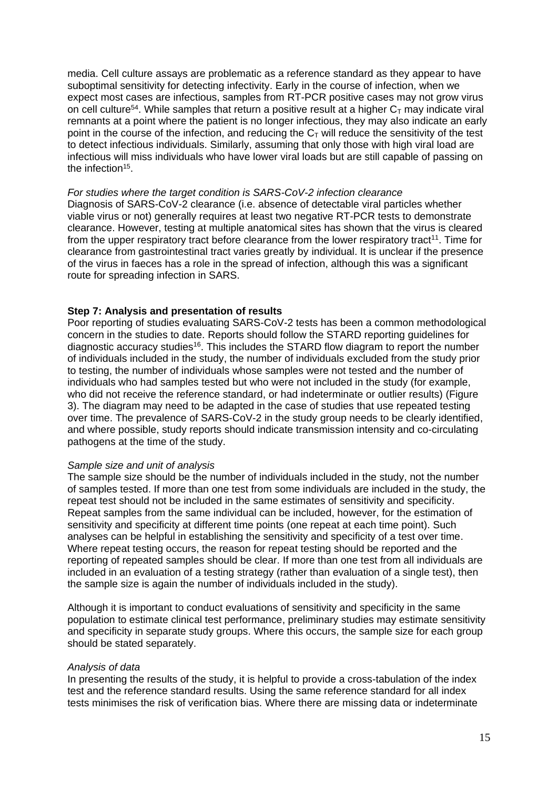media. Cell culture assays are problematic as a reference standard as they appear to have suboptimal sensitivity for detecting infectivity. Early in the course of infection, when we expect most cases are infectious, samples from RT-PCR positive cases may not grow virus on cell culture<sup>54</sup>. While samples that return a positive result at a higher  $C_T$  may indicate viral remnants at a point where the patient is no longer infectious, they may also indicate an early point in the course of the infection, and reducing the  $C<sub>T</sub>$  will reduce the sensitivity of the test to detect infectious individuals. Similarly, assuming that only those with high viral load are infectious will miss individuals who have lower viral loads but are still capable of passing on the infection<sup>15</sup>.

#### *For studies where the target condition is SARS-CoV-2 infection clearance*

Diagnosis of SARS-CoV-2 clearance (i.e. absence of detectable viral particles whether viable virus or not) generally requires at least two negative RT-PCR tests to demonstrate clearance. However, testing at multiple anatomical sites has shown that the virus is cleared from the upper respiratory tract before clearance from the lower respiratory tract<sup>11</sup>. Time for clearance from gastrointestinal tract varies greatly by individual. It is unclear if the presence of the virus in faeces has a role in the spread of infection, although this was a significant route for spreading infection in SARS.

#### **Step 7: Analysis and presentation of results**

Poor reporting of studies evaluating SARS-CoV-2 tests has been a common methodological concern in the studies to date. Reports should follow the STARD reporting guidelines for diagnostic accuracy studies<sup>16</sup>. This includes the STARD flow diagram to report the number of individuals included in the study, the number of individuals excluded from the study prior to testing, the number of individuals whose samples were not tested and the number of individuals who had samples tested but who were not included in the study (for example, who did not receive the reference standard, or had indeterminate or outlier results) (Figure 3). The diagram may need to be adapted in the case of studies that use repeated testing over time. The prevalence of SARS-CoV-2 in the study group needs to be clearly identified, and where possible, study reports should indicate transmission intensity and co-circulating pathogens at the time of the study.

#### *Sample size and unit of analysis*

The sample size should be the number of individuals included in the study, not the number of samples tested. If more than one test from some individuals are included in the study, the repeat test should not be included in the same estimates of sensitivity and specificity. Repeat samples from the same individual can be included, however, for the estimation of sensitivity and specificity at different time points (one repeat at each time point). Such analyses can be helpful in establishing the sensitivity and specificity of a test over time. Where repeat testing occurs, the reason for repeat testing should be reported and the reporting of repeated samples should be clear. If more than one test from all individuals are included in an evaluation of a testing strategy (rather than evaluation of a single test), then the sample size is again the number of individuals included in the study).

Although it is important to conduct evaluations of sensitivity and specificity in the same population to estimate clinical test performance, preliminary studies may estimate sensitivity and specificity in separate study groups. Where this occurs, the sample size for each group should be stated separately.

#### *Analysis of data*

In presenting the results of the study, it is helpful to provide a cross-tabulation of the index test and the reference standard results. Using the same reference standard for all index tests minimises the risk of verification bias. Where there are missing data or indeterminate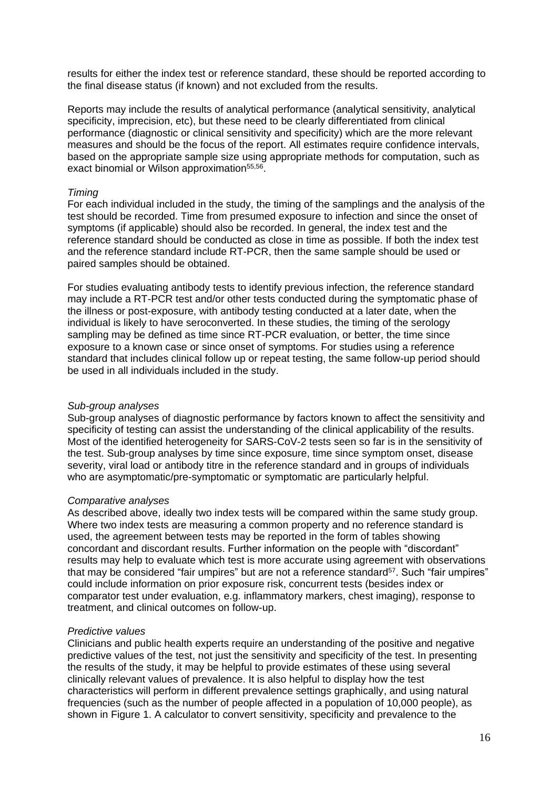results for either the index test or reference standard, these should be reported according to the final disease status (if known) and not excluded from the results.

Reports may include the results of analytical performance (analytical sensitivity, analytical specificity, imprecision, etc), but these need to be clearly differentiated from clinical performance (diagnostic or clinical sensitivity and specificity) which are the more relevant measures and should be the focus of the report. All estimates require confidence intervals, based on the appropriate sample size using appropriate methods for computation, such as exact binomial or Wilson approximation<sup>55,56</sup>.

### *Timing*

For each individual included in the study, the timing of the samplings and the analysis of the test should be recorded. Time from presumed exposure to infection and since the onset of symptoms (if applicable) should also be recorded. In general, the index test and the reference standard should be conducted as close in time as possible. If both the index test and the reference standard include RT-PCR, then the same sample should be used or paired samples should be obtained.

For studies evaluating antibody tests to identify previous infection, the reference standard may include a RT-PCR test and/or other tests conducted during the symptomatic phase of the illness or post-exposure, with antibody testing conducted at a later date, when the individual is likely to have seroconverted. In these studies, the timing of the serology sampling may be defined as time since RT-PCR evaluation, or better, the time since exposure to a known case or since onset of symptoms. For studies using a reference standard that includes clinical follow up or repeat testing, the same follow-up period should be used in all individuals included in the study.

## *Sub-group analyses*

Sub-group analyses of diagnostic performance by factors known to affect the sensitivity and specificity of testing can assist the understanding of the clinical applicability of the results. Most of the identified heterogeneity for SARS-CoV-2 tests seen so far is in the sensitivity of the test. Sub-group analyses by time since exposure, time since symptom onset, disease severity, viral load or antibody titre in the reference standard and in groups of individuals who are asymptomatic/pre-symptomatic or symptomatic are particularly helpful.

## *Comparative analyses*

As described above, ideally two index tests will be compared within the same study group. Where two index tests are measuring a common property and no reference standard is used, the agreement between tests may be reported in the form of tables showing concordant and discordant results. Further information on the people with "discordant" results may help to evaluate which test is more accurate using agreement with observations that may be considered "fair umpires" but are not a reference standard<sup>57</sup>. Such "fair umpires" could include information on prior exposure risk, concurrent tests (besides index or comparator test under evaluation, e.g. inflammatory markers, chest imaging), response to treatment, and clinical outcomes on follow-up.

#### *Predictive values*

Clinicians and public health experts require an understanding of the positive and negative predictive values of the test, not just the sensitivity and specificity of the test. In presenting the results of the study, it may be helpful to provide estimates of these using several clinically relevant values of prevalence. It is also helpful to display how the test characteristics will perform in different prevalence settings graphically, and using natural frequencies (such as the number of people affected in a population of 10,000 people), as shown in Figure 1. A calculator to convert sensitivity, specificity and prevalence to the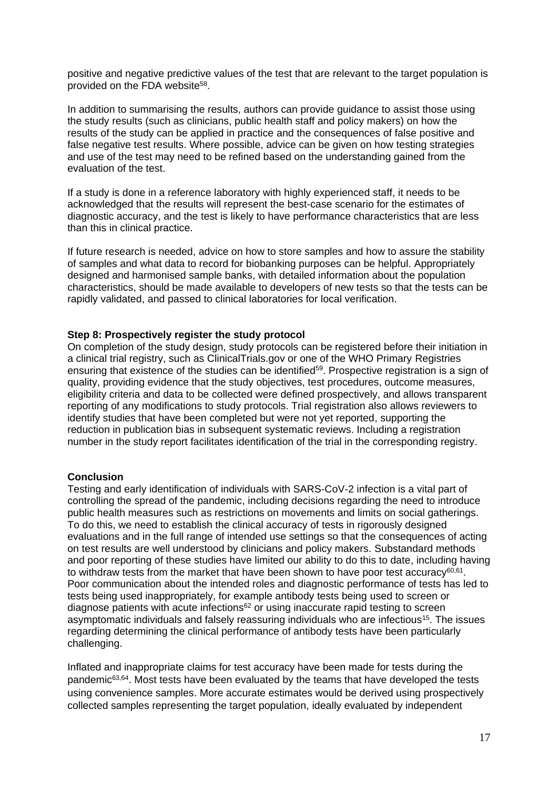positive and negative predictive values of the test that are relevant to the target population is provided on the FDA website<sup>58</sup>.

In addition to summarising the results, authors can provide guidance to assist those using the study results (such as clinicians, public health staff and policy makers) on how the results of the study can be applied in practice and the consequences of false positive and false negative test results. Where possible, advice can be given on how testing strategies and use of the test may need to be refined based on the understanding gained from the evaluation of the test.

If a study is done in a reference laboratory with highly experienced staff, it needs to be acknowledged that the results will represent the best-case scenario for the estimates of diagnostic accuracy, and the test is likely to have performance characteristics that are less than this in clinical practice.

If future research is needed, advice on how to store samples and how to assure the stability of samples and what data to record for biobanking purposes can be helpful. Appropriately designed and harmonised sample banks, with detailed information about the population characteristics, should be made available to developers of new tests so that the tests can be rapidly validated, and passed to clinical laboratories for local verification.

#### **Step 8: Prospectively register the study protocol**

On completion of the study design, study protocols can be registered before their initiation in a clinical trial registry, such as ClinicalTrials.gov or one of the WHO Primary Registries ensuring that existence of the studies can be identified<sup>59</sup>. Prospective registration is a sign of quality, providing evidence that the study objectives, test procedures, outcome measures, eligibility criteria and data to be collected were defined prospectively, and allows transparent reporting of any modifications to study protocols. Trial registration also allows reviewers to identify studies that have been completed but were not yet reported, supporting the reduction in publication bias in subsequent systematic reviews. Including a registration number in the study report facilitates identification of the trial in the corresponding registry.

#### **Conclusion**

Testing and early identification of individuals with SARS-CoV-2 infection is a vital part of controlling the spread of the pandemic, including decisions regarding the need to introduce public health measures such as restrictions on movements and limits on social gatherings. To do this, we need to establish the clinical accuracy of tests in rigorously designed evaluations and in the full range of intended use settings so that the consequences of acting on test results are well understood by clinicians and policy makers. Substandard methods and poor reporting of these studies have limited our ability to do this to date, including having to withdraw tests from the market that have been shown to have poor test accuracy $60,61$ . Poor communication about the intended roles and diagnostic performance of tests has led to tests being used inappropriately, for example antibody tests being used to screen or  $di$ agnose patients with acute infections $62$  or using inaccurate rapid testing to screen asymptomatic individuals and falsely reassuring individuals who are infectious<sup>15</sup>. The issues regarding determining the clinical performance of antibody tests have been particularly challenging.

Inflated and inappropriate claims for test accuracy have been made for tests during the pandemic<sup>63,64</sup>. Most tests have been evaluated by the teams that have developed the tests using convenience samples. More accurate estimates would be derived using prospectively collected samples representing the target population, ideally evaluated by independent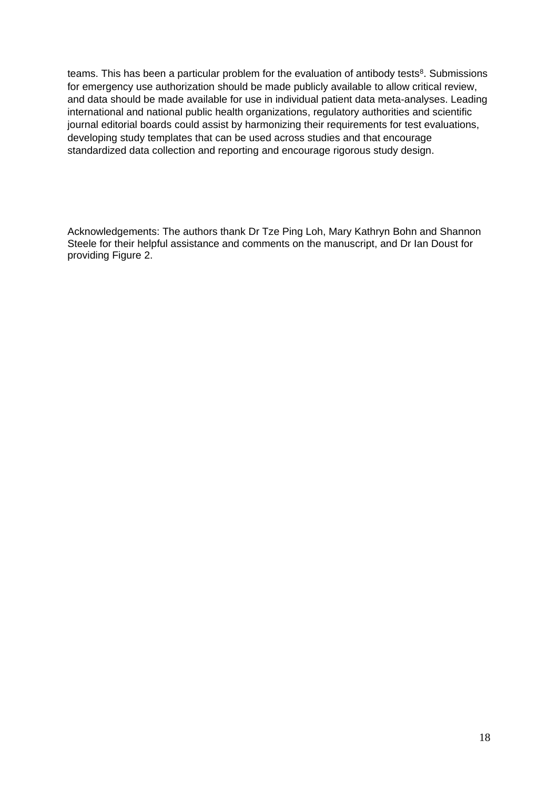teams. This has been a particular problem for the evaluation of antibody tests<sup>8</sup>. Submissions for emergency use authorization should be made publicly available to allow critical review, and data should be made available for use in individual patient data meta-analyses. Leading international and national public health organizations, regulatory authorities and scientific journal editorial boards could assist by harmonizing their requirements for test evaluations, developing study templates that can be used across studies and that encourage standardized data collection and reporting and encourage rigorous study design.

Acknowledgements: The authors thank Dr Tze Ping Loh, Mary Kathryn Bohn and Shannon Steele for their helpful assistance and comments on the manuscript, and Dr Ian Doust for providing Figure 2.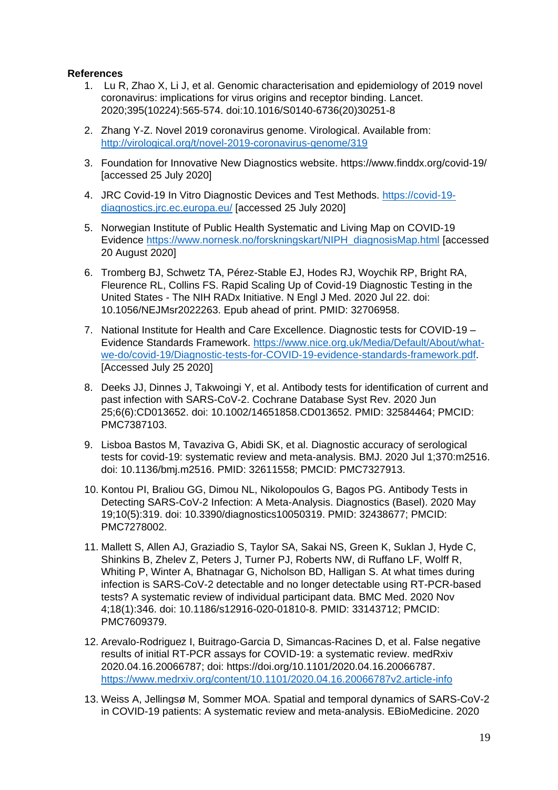## **References**

- 1. Lu R, Zhao X, Li J, et al. Genomic characterisation and epidemiology of 2019 novel coronavirus: implications for virus origins and receptor binding. Lancet. 2020;395(10224):565-574. doi:10.1016/S0140-6736(20)30251-8
- 2. Zhang Y-Z. Novel 2019 coronavirus genome. Virological. Available from: <http://virological.org/t/novel-2019-coronavirus-genome/319>
- 3. Foundation for Innovative New Diagnostics website. https://www.finddx.org/covid-19/ [accessed 25 July 2020]
- 4. JRC Covid-19 In Vitro Diagnostic Devices and Test Methods. [https://covid-19](https://covid-19-diagnostics.jrc.ec.europa.eu/) [diagnostics.jrc.ec.europa.eu/](https://covid-19-diagnostics.jrc.ec.europa.eu/) [accessed 25 July 2020]
- 5. Norwegian Institute of Public Health Systematic and Living Map on COVID-19 Evidence [https://www.nornesk.no/forskningskart/NIPH\\_diagnosisMap.html](https://www.nornesk.no/forskningskart/NIPH_diagnosisMap.html) [accessed 20 August 2020]
- 6. Tromberg BJ, Schwetz TA, Pérez-Stable EJ, Hodes RJ, Woychik RP, Bright RA, Fleurence RL, Collins FS. Rapid Scaling Up of Covid-19 Diagnostic Testing in the United States - The NIH RADx Initiative. N Engl J Med. 2020 Jul 22. doi: 10.1056/NEJMsr2022263. Epub ahead of print. PMID: 32706958.
- 7. National Institute for Health and Care Excellence. Diagnostic tests for COVID-19 Evidence Standards Framework. [https://www.nice.org.uk/Media/Default/About/what](https://www.nice.org.uk/Media/Default/About/what-we-do/covid-19/Diagnostic-tests-for-COVID-19-evidence-standards-framework.pdf)[we-do/covid-19/Diagnostic-tests-for-COVID-19-evidence-standards-framework.pdf.](https://www.nice.org.uk/Media/Default/About/what-we-do/covid-19/Diagnostic-tests-for-COVID-19-evidence-standards-framework.pdf) [Accessed July 25 2020]
- 8. Deeks JJ, Dinnes J, Takwoingi Y, et al. Antibody tests for identification of current and past infection with SARS-CoV-2. Cochrane Database Syst Rev. 2020 Jun 25;6(6):CD013652. doi: 10.1002/14651858.CD013652. PMID: 32584464; PMCID: PMC7387103.
- 9. Lisboa Bastos M, Tavaziva G, Abidi SK, et al. Diagnostic accuracy of serological tests for covid-19: systematic review and meta-analysis. BMJ. 2020 Jul 1;370:m2516. doi: 10.1136/bmj.m2516. PMID: 32611558; PMCID: PMC7327913.
- 10. Kontou PI, Braliou GG, Dimou NL, Nikolopoulos G, Bagos PG. Antibody Tests in Detecting SARS-CoV-2 Infection: A Meta-Analysis. Diagnostics (Basel). 2020 May 19;10(5):319. doi: 10.3390/diagnostics10050319. PMID: 32438677; PMCID: PMC7278002.
- 11. Mallett S, Allen AJ, Graziadio S, Taylor SA, Sakai NS, Green K, Suklan J, Hyde C, Shinkins B, Zhelev Z, Peters J, Turner PJ, Roberts NW, di Ruffano LF, Wolff R, Whiting P, Winter A, Bhatnagar G, Nicholson BD, Halligan S. At what times during infection is SARS-CoV-2 detectable and no longer detectable using RT-PCR-based tests? A systematic review of individual participant data. BMC Med. 2020 Nov 4;18(1):346. doi: 10.1186/s12916-020-01810-8. PMID: 33143712; PMCID: PMC7609379.
- 12. Arevalo-Rodriguez I, Buitrago-Garcia D, Simancas-Racines D, et al. False negative results of initial RT-PCR assays for COVID-19: a systematic review. medRxiv 2020.04.16.20066787; doi: [https://doi.org/10.1101/2020.04.16.20066787.](https://doi.org/10.1101/2020.04.16.20066787) <https://www.medrxiv.org/content/10.1101/2020.04.16.20066787v2.article-info>
- 13. Weiss A, Jellingsø M, Sommer MOA. Spatial and temporal dynamics of SARS-CoV-2 in COVID-19 patients: A systematic review and meta-analysis. EBioMedicine. 2020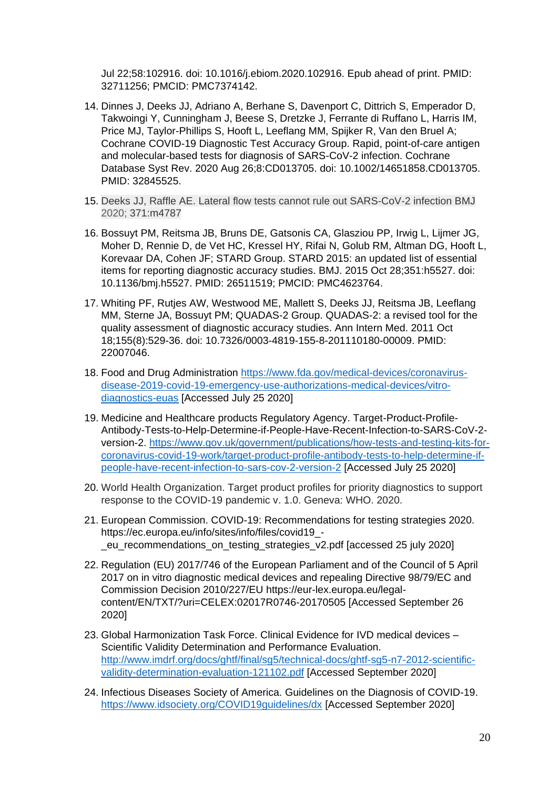Jul 22;58:102916. doi: 10.1016/j.ebiom.2020.102916. Epub ahead of print. PMID: 32711256; PMCID: PMC7374142.

- 14. Dinnes J, Deeks JJ, Adriano A, Berhane S, Davenport C, Dittrich S, Emperador D, Takwoingi Y, Cunningham J, Beese S, Dretzke J, Ferrante di Ruffano L, Harris IM, Price MJ, Taylor-Phillips S, Hooft L, Leeflang MM, Spijker R, Van den Bruel A; Cochrane COVID-19 Diagnostic Test Accuracy Group. Rapid, point-of-care antigen and molecular-based tests for diagnosis of SARS-CoV-2 infection. Cochrane Database Syst Rev. 2020 Aug 26;8:CD013705. doi: 10.1002/14651858.CD013705. PMID: 32845525.
- 15. Deeks JJ, Raffle AE. Lateral flow tests cannot rule out SARS-CoV-2 infection BMJ 2020; 371:m4787
- 16. Bossuyt PM, Reitsma JB, Bruns DE, Gatsonis CA, Glasziou PP, Irwig L, Lijmer JG, Moher D, Rennie D, de Vet HC, Kressel HY, Rifai N, Golub RM, Altman DG, Hooft L, Korevaar DA, Cohen JF; STARD Group. STARD 2015: an updated list of essential items for reporting diagnostic accuracy studies. BMJ. 2015 Oct 28;351:h5527. doi: 10.1136/bmj.h5527. PMID: 26511519; PMCID: PMC4623764.
- 17. Whiting PF, Rutjes AW, Westwood ME, Mallett S, Deeks JJ, Reitsma JB, Leeflang MM, Sterne JA, Bossuyt PM; QUADAS-2 Group. QUADAS-2: a revised tool for the quality assessment of diagnostic accuracy studies. Ann Intern Med. 2011 Oct 18;155(8):529-36. doi: 10.7326/0003-4819-155-8-201110180-00009. PMID: 22007046.
- 18. Food and Drug Administration [https://www.fda.gov/medical-devices/coronavirus](https://www.fda.gov/medical-devices/coronavirus-disease-2019-covid-19-emergency-use-authorizations-medical-devices/vitro-diagnostics-euas)[disease-2019-covid-19-emergency-use-authorizations-medical-devices/vitro](https://www.fda.gov/medical-devices/coronavirus-disease-2019-covid-19-emergency-use-authorizations-medical-devices/vitro-diagnostics-euas)[diagnostics-euas](https://www.fda.gov/medical-devices/coronavirus-disease-2019-covid-19-emergency-use-authorizations-medical-devices/vitro-diagnostics-euas) [Accessed July 25 2020]
- 19. Medicine and Healthcare products Regulatory Agency. Target-Product-Profile-Antibody-Tests-to-Help-Determine-if-People-Have-Recent-Infection-to-SARS-CoV-2 version-2. [https://www.gov.uk/government/publications/how-tests-and-testing-kits-for](https://www.gov.uk/government/publications/how-tests-and-testing-kits-for-coronavirus-covid-19-work/target-product-profile-antibody-tests-to-help-determine-if-people-have-recent-infection-to-sars-cov-2-version-2)[coronavirus-covid-19-work/target-product-profile-antibody-tests-to-help-determine-if](https://www.gov.uk/government/publications/how-tests-and-testing-kits-for-coronavirus-covid-19-work/target-product-profile-antibody-tests-to-help-determine-if-people-have-recent-infection-to-sars-cov-2-version-2)[people-have-recent-infection-to-sars-cov-2-version-2](https://www.gov.uk/government/publications/how-tests-and-testing-kits-for-coronavirus-covid-19-work/target-product-profile-antibody-tests-to-help-determine-if-people-have-recent-infection-to-sars-cov-2-version-2) [Accessed July 25 2020]
- 20. World Health Organization. Target product profiles for priority diagnostics to support response to the COVID-19 pandemic v. 1.0. Geneva: WHO. 2020.
- 21. European Commission. COVID-19: Recommendations for testing strategies 2020. [https://ec.europa.eu/info/sites/info/files/covid19\\_](https://ec.europa.eu/info/sites/info/files/covid19_-_eu_recommendations_on_testing_strategies_v2.pdf) eu\_recommendations\_on\_testing\_strategies\_v2.pdf [accessed 25 july 2020]
- 22. Regulation (EU) 2017/746 of the European Parliament and of the Council of 5 April 2017 on in vitro diagnostic medical devices and repealing Directive 98/79/EC and Commission Decision 2010/227/EU [https://eur-lex.europa.eu/legal](https://eur-lex.europa.eu/legal-content/EN/TXT/?uri=CELEX:02017R0746-20170505)[content/EN/TXT/?uri=CELEX:02017R0746-20170505](https://eur-lex.europa.eu/legal-content/EN/TXT/?uri=CELEX:02017R0746-20170505) [Accessed September 26 2020]
- 23. Global Harmonization Task Force. Clinical Evidence for IVD medical devices Scientific Validity Determination and Performance Evaluation. [http://www.imdrf.org/docs/ghtf/final/sg5/technical-docs/ghtf-sg5-n7-2012-scientific](http://www.imdrf.org/docs/ghtf/final/sg5/technical-docs/ghtf-sg5-n7-2012-scientific-validity-determination-evaluation-121102.pdf)[validity-determination-evaluation-121102.pdf](http://www.imdrf.org/docs/ghtf/final/sg5/technical-docs/ghtf-sg5-n7-2012-scientific-validity-determination-evaluation-121102.pdf) [Accessed September 2020]
- 24. Infectious Diseases Society of America. Guidelines on the Diagnosis of COVID-19. <https://www.idsociety.org/COVID19guidelines/dx> [Accessed September 2020]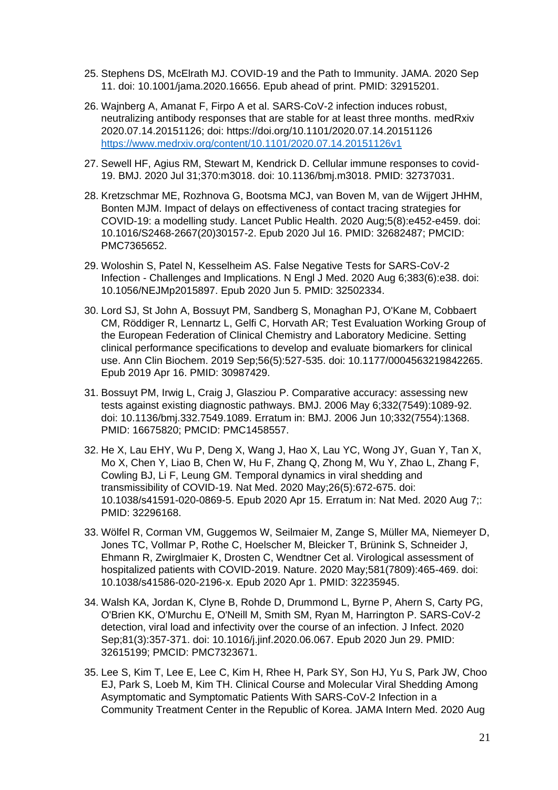- 25. Stephens DS, McElrath MJ. COVID-19 and the Path to Immunity. JAMA. 2020 Sep 11. doi: 10.1001/jama.2020.16656. Epub ahead of print. PMID: 32915201.
- 26. Wajnberg A, Amanat F, Firpo A et al. SARS-CoV-2 infection induces robust, neutralizing antibody responses that are stable for at least three months. medRxiv 2020.07.14.20151126; doi: https://doi.org/10.1101/2020.07.14.20151126 <https://www.medrxiv.org/content/10.1101/2020.07.14.20151126v1>
- 27. Sewell HF, Agius RM, Stewart M, Kendrick D. Cellular immune responses to covid-19. BMJ. 2020 Jul 31;370:m3018. doi: 10.1136/bmj.m3018. PMID: 32737031.
- 28. Kretzschmar ME, Rozhnova G, Bootsma MCJ, van Boven M, van de Wijgert JHHM, Bonten MJM. Impact of delays on effectiveness of contact tracing strategies for COVID-19: a modelling study. Lancet Public Health. 2020 Aug;5(8):e452-e459. doi: 10.1016/S2468-2667(20)30157-2. Epub 2020 Jul 16. PMID: 32682487; PMCID: PMC7365652.
- 29. Woloshin S, Patel N, Kesselheim AS. False Negative Tests for SARS-CoV-2 Infection - Challenges and Implications. N Engl J Med. 2020 Aug 6;383(6):e38. doi: 10.1056/NEJMp2015897. Epub 2020 Jun 5. PMID: 32502334.
- 30. Lord SJ, St John A, Bossuyt PM, Sandberg S, Monaghan PJ, O'Kane M, Cobbaert CM, Röddiger R, Lennartz L, Gelfi C, Horvath AR; Test Evaluation Working Group of the European Federation of Clinical Chemistry and Laboratory Medicine. Setting clinical performance specifications to develop and evaluate biomarkers for clinical use. Ann Clin Biochem. 2019 Sep;56(5):527-535. doi: 10.1177/0004563219842265. Epub 2019 Apr 16. PMID: 30987429.
- 31. Bossuyt PM, Irwig L, Craig J, Glasziou P. Comparative accuracy: assessing new tests against existing diagnostic pathways. BMJ. 2006 May 6;332(7549):1089-92. doi: 10.1136/bmj.332.7549.1089. Erratum in: BMJ. 2006 Jun 10;332(7554):1368. PMID: 16675820; PMCID: PMC1458557.
- 32. He X, Lau EHY, Wu P, Deng X, Wang J, Hao X, Lau YC, Wong JY, Guan Y, Tan X, Mo X, Chen Y, Liao B, Chen W, Hu F, Zhang Q, Zhong M, Wu Y, Zhao L, Zhang F, Cowling BJ, Li F, Leung GM. Temporal dynamics in viral shedding and transmissibility of COVID-19. Nat Med. 2020 May;26(5):672-675. doi: 10.1038/s41591-020-0869-5. Epub 2020 Apr 15. Erratum in: Nat Med. 2020 Aug 7;: PMID: 32296168.
- 33. Wölfel R, Corman VM, Guggemos W, Seilmaier M, Zange S, Müller MA, Niemeyer D, Jones TC, Vollmar P, Rothe C, Hoelscher M, Bleicker T, Brünink S, Schneider J, Ehmann R, Zwirglmaier K, Drosten C, Wendtner Cet al. Virological assessment of hospitalized patients with COVID-2019. Nature. 2020 May;581(7809):465-469. doi: 10.1038/s41586-020-2196-x. Epub 2020 Apr 1. PMID: 32235945.
- 34. Walsh KA, Jordan K, Clyne B, Rohde D, Drummond L, Byrne P, Ahern S, Carty PG, O'Brien KK, O'Murchu E, O'Neill M, Smith SM, Ryan M, Harrington P. SARS-CoV-2 detection, viral load and infectivity over the course of an infection. J Infect. 2020 Sep;81(3):357-371. doi: 10.1016/j.jinf.2020.06.067. Epub 2020 Jun 29. PMID: 32615199; PMCID: PMC7323671.
- 35. Lee S, Kim T, Lee E, Lee C, Kim H, Rhee H, Park SY, Son HJ, Yu S, Park JW, Choo EJ, Park S, Loeb M, Kim TH. Clinical Course and Molecular Viral Shedding Among Asymptomatic and Symptomatic Patients With SARS-CoV-2 Infection in a Community Treatment Center in the Republic of Korea. JAMA Intern Med. 2020 Aug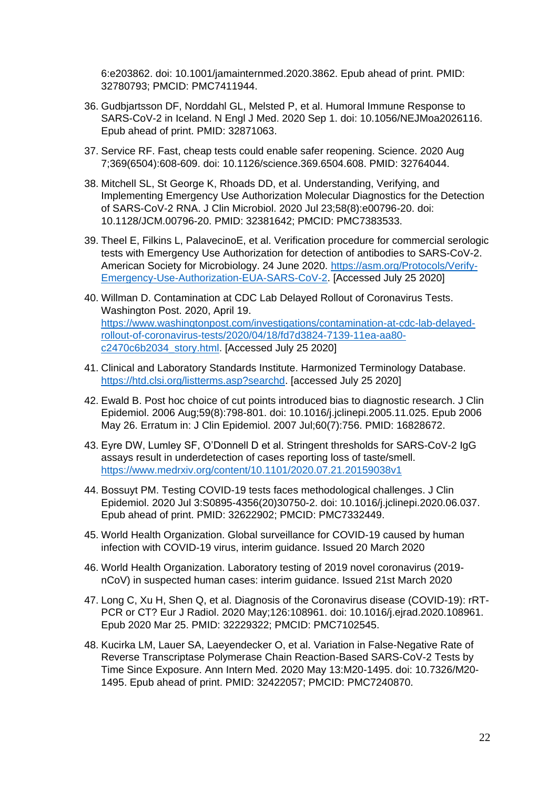6:e203862. doi: 10.1001/jamainternmed.2020.3862. Epub ahead of print. PMID: 32780793; PMCID: PMC7411944.

- 36. Gudbjartsson DF, Norddahl GL, Melsted P, et al. Humoral Immune Response to SARS-CoV-2 in Iceland. N Engl J Med. 2020 Sep 1. doi: 10.1056/NEJMoa2026116. Epub ahead of print. PMID: 32871063.
- 37. Service RF. Fast, cheap tests could enable safer reopening. Science. 2020 Aug 7;369(6504):608-609. doi: 10.1126/science.369.6504.608. PMID: 32764044.
- 38. Mitchell SL, St George K, Rhoads DD, et al. Understanding, Verifying, and Implementing Emergency Use Authorization Molecular Diagnostics for the Detection of SARS-CoV-2 RNA. J Clin Microbiol. 2020 Jul 23;58(8):e00796-20. doi: 10.1128/JCM.00796-20. PMID: 32381642; PMCID: PMC7383533.
- 39. Theel E, Filkins L, PalavecinoE, et al. Verification procedure for commercial serologic tests with Emergency Use Authorization for detection of antibodies to SARS-CoV-2. American Society for Microbiology. 24 June 2020. [https://asm.org/Protocols/Verify-](https://asm.org/Protocols/Verify-Emergency-Use-Authorization-EUA-SARS-CoV-2)[Emergency-Use-Authorization-EUA-SARS-CoV-2.](https://asm.org/Protocols/Verify-Emergency-Use-Authorization-EUA-SARS-CoV-2) [Accessed July 25 2020]
- 40. Willman D. Contamination at CDC Lab Delayed Rollout of Coronavirus Tests. Washington Post. 2020, April 19. [https://www.washingtonpost.com/investigations/contamination-at-cdc-lab-delayed](https://www.washingtonpost.com/investigations/contamination-at-cdc-lab-delayed-rollout-of-coronavirus-tests/2020/04/18/fd7d3824-7139-11ea-aa80-c2470c6b2034_story.html)[rollout-of-coronavirus-tests/2020/04/18/fd7d3824-7139-11ea-aa80](https://www.washingtonpost.com/investigations/contamination-at-cdc-lab-delayed-rollout-of-coronavirus-tests/2020/04/18/fd7d3824-7139-11ea-aa80-c2470c6b2034_story.html) [c2470c6b2034\\_story.html.](https://www.washingtonpost.com/investigations/contamination-at-cdc-lab-delayed-rollout-of-coronavirus-tests/2020/04/18/fd7d3824-7139-11ea-aa80-c2470c6b2034_story.html) [Accessed July 25 2020]
- 41. Clinical and Laboratory Standards Institute. Harmonized Terminology Database. [https://htd.clsi.org/listterms.asp?searchd.](https://htd.clsi.org/listterms.asp?searchd) [accessed July 25 2020]
- 42. Ewald B. Post hoc choice of cut points introduced bias to diagnostic research. J Clin Epidemiol. 2006 Aug;59(8):798-801. doi: 10.1016/j.jclinepi.2005.11.025. Epub 2006 May 26. Erratum in: J Clin Epidemiol. 2007 Jul;60(7):756. PMID: 16828672.
- 43. Eyre DW, Lumley SF, O'Donnell D et al. Stringent thresholds for SARS-CoV-2 IgG assays result in underdetection of cases reporting loss of taste/smell. <https://www.medrxiv.org/content/10.1101/2020.07.21.20159038v1>
- 44. Bossuyt PM. Testing COVID-19 tests faces methodological challenges. J Clin Epidemiol. 2020 Jul 3:S0895-4356(20)30750-2. doi: 10.1016/j.jclinepi.2020.06.037. Epub ahead of print. PMID: 32622902; PMCID: PMC7332449.
- 45. World Health Organization. Global surveillance for COVID-19 caused by human infection with COVID-19 virus, interim guidance. Issued 20 March 2020
- 46. World Health Organization. Laboratory testing of 2019 novel coronavirus (2019 nCoV) in suspected human cases: interim guidance. Issued 21st March 2020
- 47. Long C, Xu H, Shen Q, et al. Diagnosis of the Coronavirus disease (COVID-19): rRT-PCR or CT? Eur J Radiol. 2020 May;126:108961. doi: 10.1016/j.ejrad.2020.108961. Epub 2020 Mar 25. PMID: 32229322; PMCID: PMC7102545.
- 48. Kucirka LM, Lauer SA, Laeyendecker O, et al. Variation in False-Negative Rate of Reverse Transcriptase Polymerase Chain Reaction-Based SARS-CoV-2 Tests by Time Since Exposure. Ann Intern Med. 2020 May 13:M20-1495. doi: 10.7326/M20- 1495. Epub ahead of print. PMID: 32422057; PMCID: PMC7240870.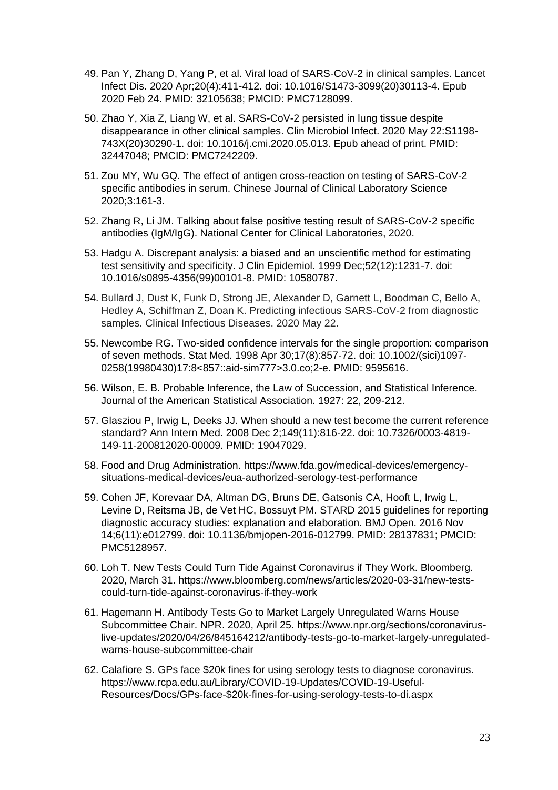- 49. Pan Y, Zhang D, Yang P, et al. Viral load of SARS-CoV-2 in clinical samples. Lancet Infect Dis. 2020 Apr;20(4):411-412. doi: 10.1016/S1473-3099(20)30113-4. Epub 2020 Feb 24. PMID: 32105638; PMCID: PMC7128099.
- 50. Zhao Y, Xia Z, Liang W, et al. SARS-CoV-2 persisted in lung tissue despite disappearance in other clinical samples. Clin Microbiol Infect. 2020 May 22:S1198- 743X(20)30290-1. doi: 10.1016/j.cmi.2020.05.013. Epub ahead of print. PMID: 32447048; PMCID: PMC7242209.
- 51. Zou MY, Wu GQ. The effect of antigen cross-reaction on testing of SARS-CoV-2 specific antibodies in serum. Chinese Journal of Clinical Laboratory Science 2020;3:161-3.
- 52. Zhang R, Li JM. Talking about false positive testing result of SARS-CoV-2 specific antibodies (IgM/IgG). National Center for Clinical Laboratories, 2020.
- 53. Hadgu A. Discrepant analysis: a biased and an unscientific method for estimating test sensitivity and specificity. J Clin Epidemiol. 1999 Dec;52(12):1231-7. doi: 10.1016/s0895-4356(99)00101-8. PMID: 10580787.
- 54. Bullard J, Dust K, Funk D, Strong JE, Alexander D, Garnett L, Boodman C, Bello A, Hedley A, Schiffman Z, Doan K. Predicting infectious SARS-CoV-2 from diagnostic samples. Clinical Infectious Diseases. 2020 May 22.
- 55. Newcombe RG. Two-sided confidence intervals for the single proportion: comparison of seven methods. Stat Med. 1998 Apr 30;17(8):857-72. doi: 10.1002/(sici)1097- 0258(19980430)17:8<857::aid-sim777>3.0.co;2-e. PMID: 9595616.
- 56. Wilson, E. B. Probable Inference, the Law of Succession, and Statistical Inference. Journal of the American Statistical Association. 1927: 22, 209-212.
- 57. Glasziou P, Irwig L, Deeks JJ. When should a new test become the current reference standard? Ann Intern Med. 2008 Dec 2;149(11):816-22. doi: 10.7326/0003-4819- 149-11-200812020-00009. PMID: 19047029.
- 58. Food and Drug Administration. [https://www.fda.gov/medical-devices/emergency](https://www.fda.gov/medical-devices/emergency-situations-medical-devices/eua-authorized-serology-test-performance)[situations-medical-devices/eua-authorized-serology-test-performance](https://www.fda.gov/medical-devices/emergency-situations-medical-devices/eua-authorized-serology-test-performance)
- 59. Cohen JF, Korevaar DA, Altman DG, Bruns DE, Gatsonis CA, Hooft L, Irwig L, Levine D, Reitsma JB, de Vet HC, Bossuyt PM. STARD 2015 guidelines for reporting diagnostic accuracy studies: explanation and elaboration. BMJ Open. 2016 Nov 14;6(11):e012799. doi: 10.1136/bmjopen-2016-012799. PMID: 28137831; PMCID: PMC5128957.
- 60. Loh T. New Tests Could Turn Tide Against Coronavirus if They Work. Bloomberg. 2020, March 31. [https://www.bloomberg.com/news/articles/2020-03-31/new-tests](https://www.bloomberg.com/news/articles/2020-03-31/new-tests-could-turn-tide-against-coronavirus-if-they-work)[could-turn-tide-against-coronavirus-if-they-work](https://www.bloomberg.com/news/articles/2020-03-31/new-tests-could-turn-tide-against-coronavirus-if-they-work)
- 61. Hagemann H. Antibody Tests Go to Market Largely Unregulated Warns House Subcommittee Chair. NPR. 2020, April 25. [https://www.npr.org/sections/coronavirus](https://www.npr.org/sections/coronavirus-live-updates/2020/04/26/845164212/antibody-tests-go-to-market-largely-unregulated-warns-house-subcommittee-chair)[live-updates/2020/04/26/845164212/antibody-tests-go-to-market-largely-unregulated](https://www.npr.org/sections/coronavirus-live-updates/2020/04/26/845164212/antibody-tests-go-to-market-largely-unregulated-warns-house-subcommittee-chair)[warns-house-subcommittee-chair](https://www.npr.org/sections/coronavirus-live-updates/2020/04/26/845164212/antibody-tests-go-to-market-largely-unregulated-warns-house-subcommittee-chair)
- 62. Calafiore S. GPs face \$20k fines for using serology tests to diagnose coronavirus. [https://www.rcpa.edu.au/Library/COVID-19-Updates/COVID-19-Useful-](https://www.rcpa.edu.au/Library/COVID-19-Updates/COVID-19-Useful-Resources/Docs/GPs-face-$20k-fines-for-using-serology-tests-to-di.aspx)[Resources/Docs/GPs-face-\\$20k-fines-for-using-serology-tests-to-di.aspx](https://www.rcpa.edu.au/Library/COVID-19-Updates/COVID-19-Useful-Resources/Docs/GPs-face-$20k-fines-for-using-serology-tests-to-di.aspx)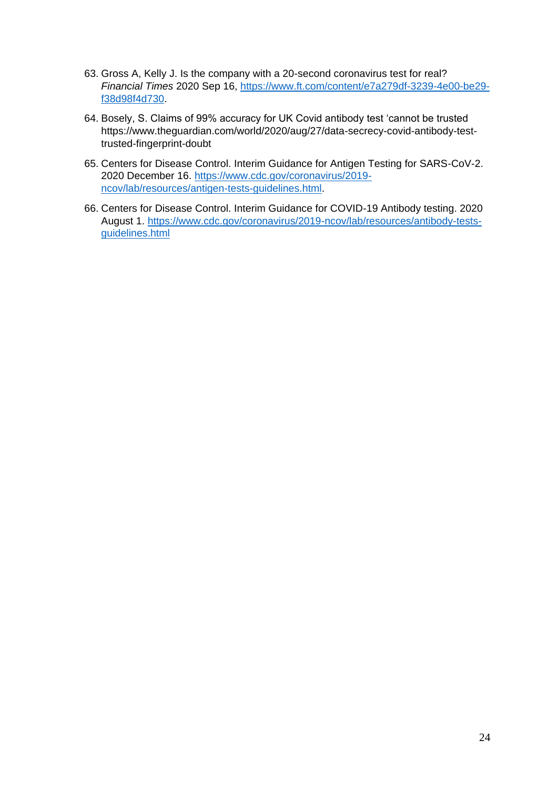- 63. Gross A, Kelly J. Is the company with a 20-second coronavirus test for real? *Financial Times* 2020 Sep 16, [https://www.ft.com/content/e7a279df-3239-4e00-be29](https://www.ft.com/content/e7a279df-3239-4e00-be29-f38d98f4d730) [f38d98f4d730.](https://www.ft.com/content/e7a279df-3239-4e00-be29-f38d98f4d730)
- 64. Bosely, S. Claims of 99% accuracy for UK Covid antibody test 'cannot be trusted [https://www.theguardian.com/world/2020/aug/27/data-secrecy-covid-antibody-test](https://www.theguardian.com/world/2020/aug/27/data-secrecy-covid-antibody-test-trusted-fingerprint-doubt)[trusted-fingerprint-doubt](https://www.theguardian.com/world/2020/aug/27/data-secrecy-covid-antibody-test-trusted-fingerprint-doubt)
- 65. Centers for Disease Control. Interim Guidance for Antigen Testing for SARS-CoV-2. 2020 December 16. [https://www.cdc.gov/coronavirus/2019](https://www.cdc.gov/coronavirus/2019-ncov/lab/resources/antigen-tests-guidelines.html) [ncov/lab/resources/antigen-tests-guidelines.html.](https://www.cdc.gov/coronavirus/2019-ncov/lab/resources/antigen-tests-guidelines.html)
- 66. Centers for Disease Control. Interim Guidance for COVID-19 Antibody testing. 2020 August 1. [https://www.cdc.gov/coronavirus/2019-ncov/lab/resources/antibody-tests](https://www.cdc.gov/coronavirus/2019-ncov/lab/resources/antibody-tests-guidelines.html)[guidelines.html](https://www.cdc.gov/coronavirus/2019-ncov/lab/resources/antibody-tests-guidelines.html)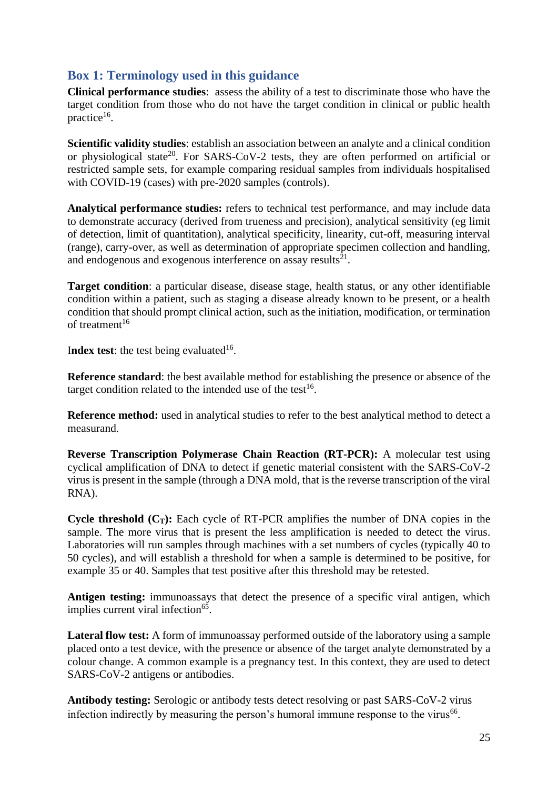# **Box 1: Terminology used in this guidance**

**Clinical performance studies**: assess the ability of a test to discriminate those who have the target condition from those who do not have the target condition in clinical or public health practice<sup>16</sup>.

**Scientific validity studies**: establish an association between an analyte and a clinical condition or physiological state<sup>20</sup>. For SARS-CoV-2 tests, they are often performed on artificial or restricted sample sets, for example comparing residual samples from individuals hospitalised with COVID-19 (cases) with pre-2020 samples (controls).

**Analytical performance studies:** refers to technical test performance, and may include data to demonstrate accuracy (derived from trueness and precision), analytical sensitivity (eg limit of detection, limit of quantitation), analytical specificity, linearity, cut-off, measuring interval (range), carry-over, as well as determination of appropriate specimen collection and handling, and endogenous and exogenous interference on assay results $^{21}$ .

**Target condition**: a particular disease, disease stage, health status, or any other identifiable condition within a patient, such as staging a disease already known to be present, or a health condition that should prompt clinical action, such as the initiation, modification, or termination of treatment $16$ 

Index test: the test being evaluated<sup>16</sup>.

**Reference standard**: the best available method for establishing the presence or absence of the target condition related to the intended use of the test<sup>16</sup>.

**Reference method:** used in analytical studies to refer to the best analytical method to detect a measurand.

**Reverse Transcription Polymerase Chain Reaction (RT-PCR):** A molecular test using cyclical amplification of DNA to detect if genetic material consistent with the SARS-CoV-2 virus is present in the sample (through a DNA mold, that is the reverse transcription of the viral RNA).

**Cycle threshold**  $(C_T)$ : Each cycle of RT-PCR amplifies the number of DNA copies in the sample. The more virus that is present the less amplification is needed to detect the virus. Laboratories will run samples through machines with a set numbers of cycles (typically 40 to 50 cycles), and will establish a threshold for when a sample is determined to be positive, for example 35 or 40. Samples that test positive after this threshold may be retested.

**Antigen testing:** immunoassays that detect the presence of a specific viral antigen, which implies current viral infection<sup>65</sup>.

**Lateral flow test:** A form of immunoassay performed outside of the laboratory using a sample placed onto a test device, with the presence or absence of the target analyte demonstrated by a colour change. A common example is a pregnancy test. In this context, they are used to detect SARS-CoV-2 antigens or antibodies.

**Antibody testing:** Serologic or antibody tests detect resolving or past SARS-CoV-2 virus infection indirectly by measuring the person's humoral immune response to the virus<sup>66</sup>.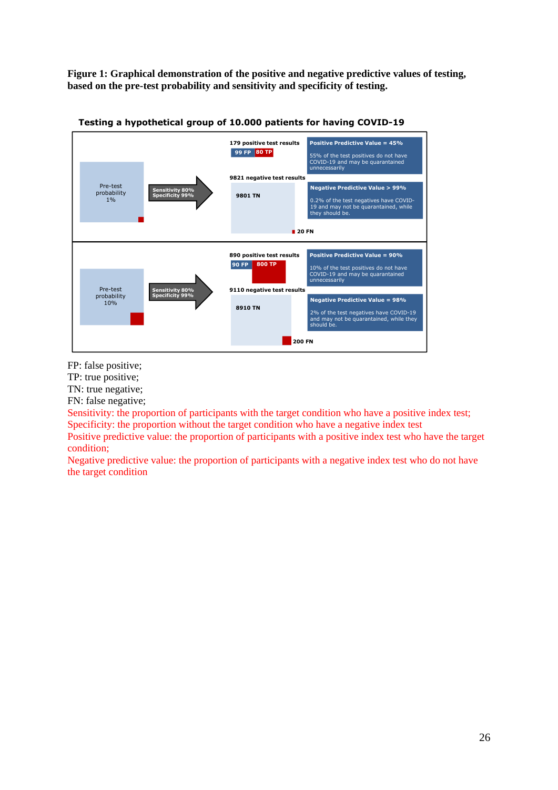**Figure 1: Graphical demonstration of the positive and negative predictive values of testing, based on the pre-test probability and sensitivity and specificity of testing.**



**Testing a hypothetical group of 10.000 patients for having COVID-19**

FP: false positive;

TP: true positive;

TN: true negative;

FN: false negative;

Sensitivity: the proportion of participants with the target condition who have a positive index test; Specificity: the proportion without the target condition who have a negative index test

Positive predictive value: the proportion of participants with a positive index test who have the target condition;

Negative predictive value: the proportion of participants with a negative index test who do not have the target condition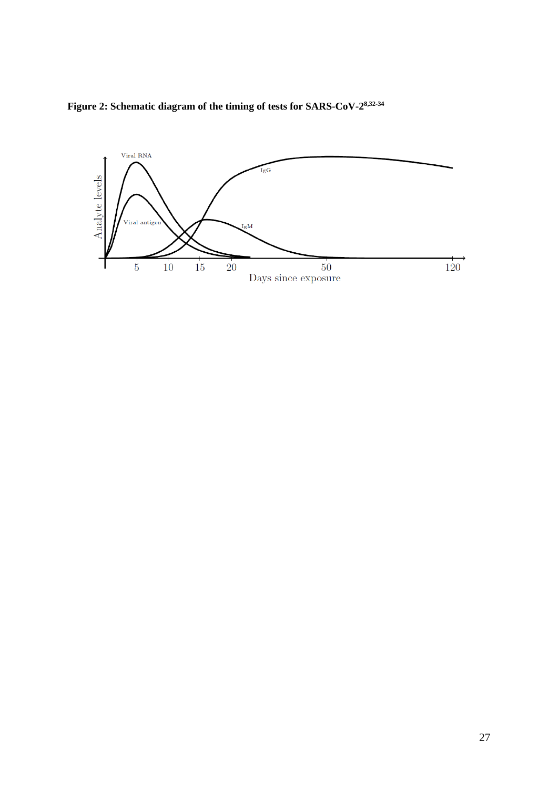

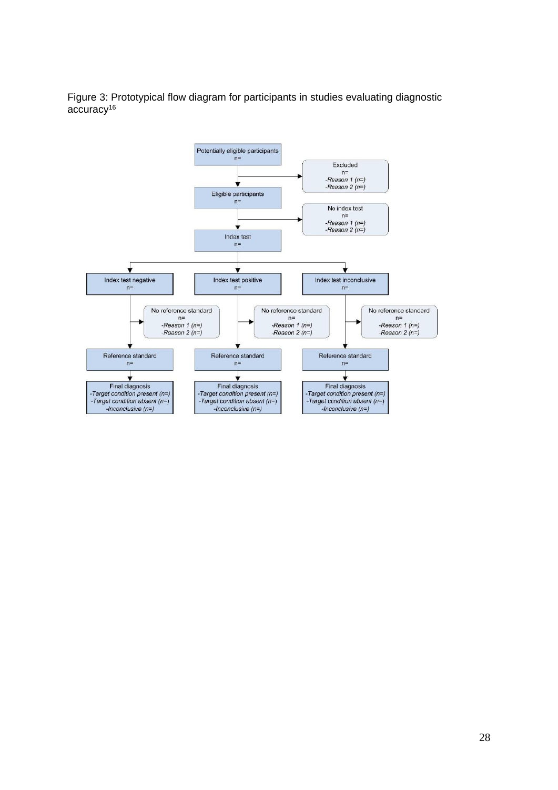Figure 3: Prototypical flow diagram for participants in studies evaluating diagnostic accuracy<sup>16</sup>

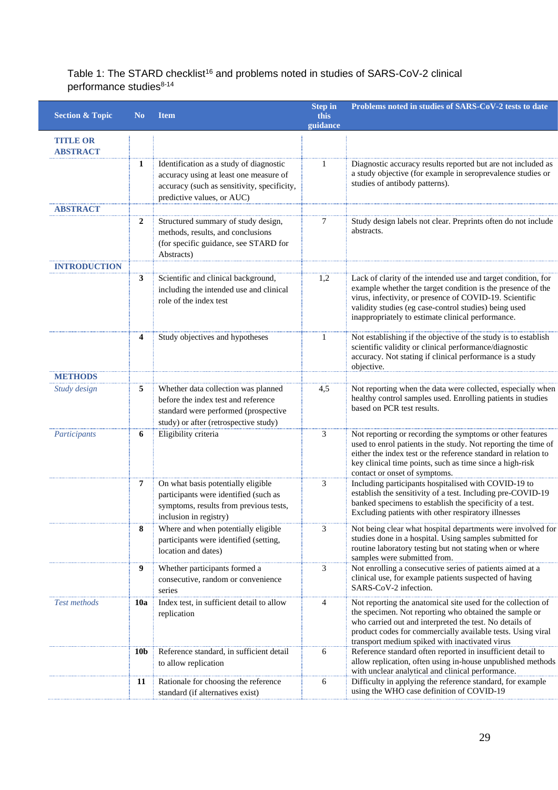## Table 1: The STARD checklist<sup>16</sup> and problems noted in studies of SARS-CoV-2 clinical performance studies<sup>8-14</sup>

| <b>Section &amp; Topic</b>         | N <sub>0</sub>  | <b>Item</b>                                                                                                                                                    | <b>Step in</b><br>this<br>guidance | Problems noted in studies of SARS-CoV-2 tests to date                                                                                                                                                                                                                                                 |  |
|------------------------------------|-----------------|----------------------------------------------------------------------------------------------------------------------------------------------------------------|------------------------------------|-------------------------------------------------------------------------------------------------------------------------------------------------------------------------------------------------------------------------------------------------------------------------------------------------------|--|
| <b>TITLE OR</b><br><b>ABSTRACT</b> |                 |                                                                                                                                                                |                                    |                                                                                                                                                                                                                                                                                                       |  |
|                                    | 1               | Identification as a study of diagnostic<br>accuracy using at least one measure of<br>accuracy (such as sensitivity, specificity,<br>predictive values, or AUC) | 1                                  | Diagnostic accuracy results reported but are not included as<br>a study objective (for example in seroprevalence studies or<br>studies of antibody patterns).                                                                                                                                         |  |
| <b>ABSTRACT</b>                    |                 |                                                                                                                                                                |                                    |                                                                                                                                                                                                                                                                                                       |  |
|                                    | 2               | Structured summary of study design,<br>methods, results, and conclusions<br>(for specific guidance, see STARD for<br>Abstracts)                                | 7                                  | Study design labels not clear. Preprints often do not include<br>abstracts.                                                                                                                                                                                                                           |  |
| <b>INTRODUCTION</b>                |                 |                                                                                                                                                                |                                    |                                                                                                                                                                                                                                                                                                       |  |
|                                    | 3               | Scientific and clinical background,<br>including the intended use and clinical<br>role of the index test                                                       | 1,2                                | Lack of clarity of the intended use and target condition, for<br>example whether the target condition is the presence of the<br>virus, infectivity, or presence of COVID-19. Scientific<br>validity studies (eg case-control studies) being used<br>inappropriately to estimate clinical performance. |  |
|                                    | 4               | Study objectives and hypotheses                                                                                                                                | 1                                  | Not establishing if the objective of the study is to establish<br>scientific validity or clinical performance/diagnostic<br>accuracy. Not stating if clinical performance is a study<br>objective.                                                                                                    |  |
| <b>METHODS</b>                     |                 |                                                                                                                                                                |                                    |                                                                                                                                                                                                                                                                                                       |  |
| Study design                       | 5               | Whether data collection was planned<br>before the index test and reference<br>standard were performed (prospective<br>study) or after (retrospective study)    | 4,5                                | Not reporting when the data were collected, especially when<br>healthy control samples used. Enrolling patients in studies<br>based on PCR test results.                                                                                                                                              |  |
| Participants                       | 6               | Eligibility criteria                                                                                                                                           | 3                                  | Not reporting or recording the symptoms or other features<br>used to enrol patients in the study. Not reporting the time of<br>either the index test or the reference standard in relation to<br>key clinical time points, such as time since a high-risk<br>contact or onset of symptoms.            |  |
|                                    | 7               | On what basis potentially eligible<br>participants were identified (such as<br>symptoms, results from previous tests,<br>inclusion in registry)                | 3                                  | Including participants hospitalised with COVID-19 to<br>establish the sensitivity of a test. Including pre-COVID-19<br>banked specimens to establish the specificity of a test.<br>Excluding patients with other respiratory illnesses                                                                |  |
|                                    | 8               | Where and when potentially eligible<br>participants were identified (setting,<br>location and dates)                                                           | 3                                  | Not being clear what hospital departments were involved for<br>studies done in a hospital. Using samples submitted for<br>routine laboratory testing but not stating when or where<br>samples were submitted from.                                                                                    |  |
|                                    | 9               | Whether participants formed a<br>consecutive, random or convenience<br>series                                                                                  | 3                                  | Not enrolling a consecutive series of patients aimed at a<br>clinical use, for example patients suspected of having<br>SARS-CoV-2 infection.                                                                                                                                                          |  |
| <b>Test methods</b>                | <b>10a</b>      | Index test, in sufficient detail to allow<br>replication                                                                                                       | 4                                  | Not reporting the anatomical site used for the collection of<br>the specimen. Not reporting who obtained the sample or<br>who carried out and interpreted the test. No details of<br>product codes for commercially available tests. Using viral<br>transport medium spiked with inactivated virus    |  |
|                                    | 10 <sub>b</sub> | Reference standard, in sufficient detail<br>to allow replication                                                                                               | 6                                  | Reference standard often reported in insufficient detail to<br>allow replication, often using in-house unpublished methods<br>with unclear analytical and clinical performance.                                                                                                                       |  |
|                                    | 11              | Rationale for choosing the reference<br>standard (if alternatives exist)                                                                                       | 6                                  | Difficulty in applying the reference standard, for example<br>using the WHO case definition of COVID-19                                                                                                                                                                                               |  |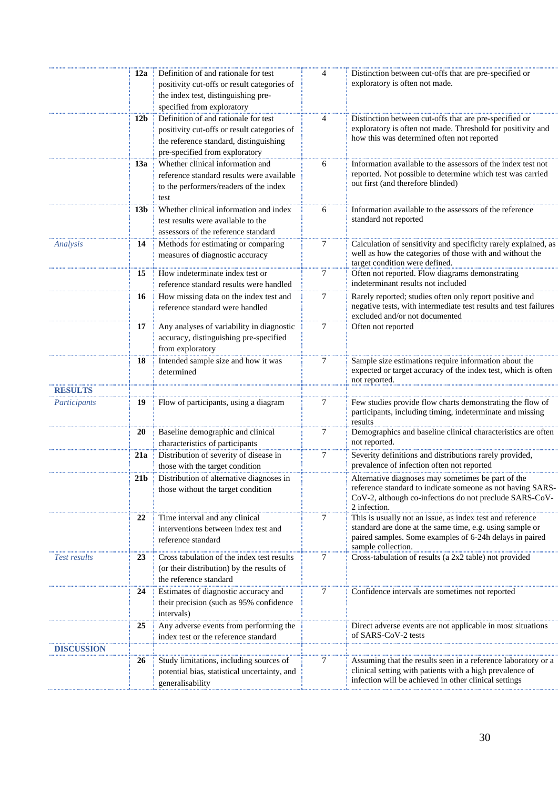|                   | 12a             | Definition of and rationale for test<br>positivity cut-offs or result categories of<br>the index test, distinguishing pre-<br>specified from exploratory        | 4 | Distinction between cut-offs that are pre-specified or<br>exploratory is often not made.                                                                                                               |
|-------------------|-----------------|-----------------------------------------------------------------------------------------------------------------------------------------------------------------|---|--------------------------------------------------------------------------------------------------------------------------------------------------------------------------------------------------------|
|                   | 12 <sub>b</sub> | Definition of and rationale for test<br>positivity cut-offs or result categories of<br>the reference standard, distinguishing<br>pre-specified from exploratory | 4 | Distinction between cut-offs that are pre-specified or<br>exploratory is often not made. Threshold for positivity and<br>how this was determined often not reported                                    |
|                   | 13a             | Whether clinical information and<br>reference standard results were available<br>to the performers/readers of the index<br>test                                 | 6 | Information available to the assessors of the index test not<br>reported. Not possible to determine which test was carried<br>out first (and therefore blinded)                                        |
|                   | 13 <sub>b</sub> | Whether clinical information and index<br>test results were available to the<br>assessors of the reference standard                                             | 6 | Information available to the assessors of the reference<br>standard not reported                                                                                                                       |
| Analysis          | 14              | Methods for estimating or comparing<br>measures of diagnostic accuracy                                                                                          | 7 | Calculation of sensitivity and specificity rarely explained, as<br>well as how the categories of those with and without the<br>target condition were defined.                                          |
|                   | 15              | How indeterminate index test or<br>reference standard results were handled                                                                                      | 7 | Often not reported. Flow diagrams demonstrating<br>indeterminant results not included                                                                                                                  |
|                   | 16              | How missing data on the index test and<br>reference standard were handled                                                                                       | 7 | Rarely reported; studies often only report positive and<br>negative tests, with intermediate test results and test failures<br>excluded and/or not documented                                          |
|                   | 17              | Any analyses of variability in diagnostic<br>accuracy, distinguishing pre-specified<br>from exploratory                                                         | 7 | Often not reported                                                                                                                                                                                     |
|                   | 18              | Intended sample size and how it was<br>determined                                                                                                               | 7 | Sample size estimations require information about the<br>expected or target accuracy of the index test, which is often<br>not reported.                                                                |
| <b>RESULTS</b>    |                 |                                                                                                                                                                 |   |                                                                                                                                                                                                        |
| Participants      | 19              | Flow of participants, using a diagram                                                                                                                           | 7 | Few studies provide flow charts demonstrating the flow of<br>participants, including timing, indeterminate and missing<br>results                                                                      |
|                   | 20              | Baseline demographic and clinical<br>characteristics of participants                                                                                            | 7 | Demographics and baseline clinical characteristics are often<br>not reported.                                                                                                                          |
|                   | 21a             | Distribution of severity of disease in<br>those with the target condition                                                                                       | 7 | Severity definitions and distributions rarely provided,<br>prevalence of infection often not reported                                                                                                  |
|                   | 21 <sub>b</sub> | Distribution of alternative diagnoses in<br>those without the target condition                                                                                  |   | Alternative diagnoses may sometimes be part of the<br>reference standard to indicate someone as not having SARS-<br>CoV-2, although co-infections do not preclude SARS-CoV-<br>2 infection.            |
|                   | 22              | Time interval and any clinical<br>interventions between index test and<br>reference standard                                                                    | 7 | This is usually not an issue, as index test and reference<br>standard are done at the same time, e.g. using sample or<br>paired samples. Some examples of 6-24h delays in paired<br>sample collection. |
| Test results      | 23              | Cross tabulation of the index test results<br>(or their distribution) by the results of<br>the reference standard                                               | 7 | Cross-tabulation of results (a 2x2 table) not provided                                                                                                                                                 |
|                   | 24              | Estimates of diagnostic accuracy and<br>their precision (such as 95% confidence<br>intervals)                                                                   | 7 | Confidence intervals are sometimes not reported                                                                                                                                                        |
|                   | 25              | Any adverse events from performing the<br>index test or the reference standard                                                                                  |   | Direct adverse events are not applicable in most situations<br>of SARS-CoV-2 tests                                                                                                                     |
| <b>DISCUSSION</b> |                 |                                                                                                                                                                 |   |                                                                                                                                                                                                        |
|                   | 26              | Study limitations, including sources of<br>potential bias, statistical uncertainty, and<br>generalisability                                                     | 7 | Assuming that the results seen in a reference laboratory or a<br>clinical setting with patients with a high prevalence of<br>infection will be achieved in other clinical settings                     |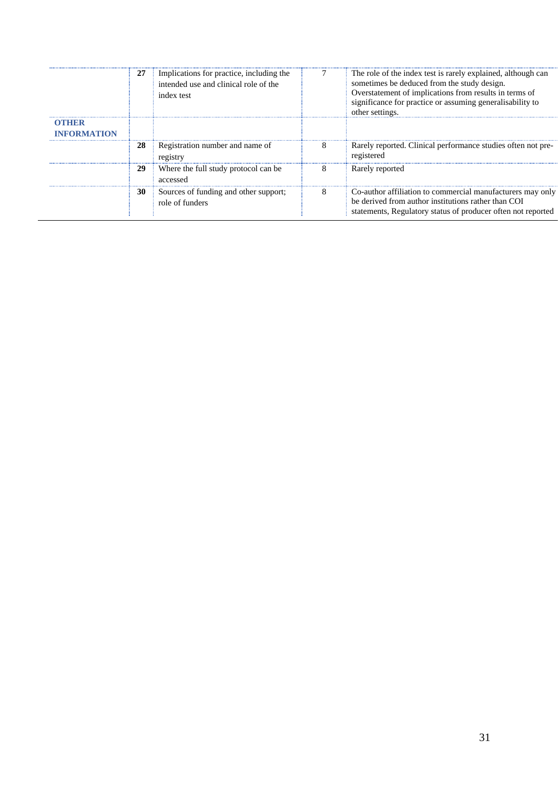|                      | 27 | Implications for practice, including the<br>intended use and clinical role of the<br>index test |   | The role of the index test is rarely explained, although can<br>sometimes be deduced from the study design.<br>Overstatement of implications from results in terms of<br>significance for practice or assuming generalisability to<br>other settings. |
|----------------------|----|-------------------------------------------------------------------------------------------------|---|-------------------------------------------------------------------------------------------------------------------------------------------------------------------------------------------------------------------------------------------------------|
| OTHER<br>INFORMATION |    |                                                                                                 |   |                                                                                                                                                                                                                                                       |
|                      | 28 | Registration number and name of<br>registry                                                     | 8 | Rarely reported. Clinical performance studies often not pre-<br>registered                                                                                                                                                                            |
|                      | 29 | Where the full study protocol can be<br>accessed                                                | 8 | Rarely reported                                                                                                                                                                                                                                       |
|                      | 30 | Sources of funding and other support;<br>role of funders                                        | 8 | Co-author affiliation to commercial manufacturers may only<br>be derived from author institutions rather than COI<br>statements, Regulatory status of producer often not reported                                                                     |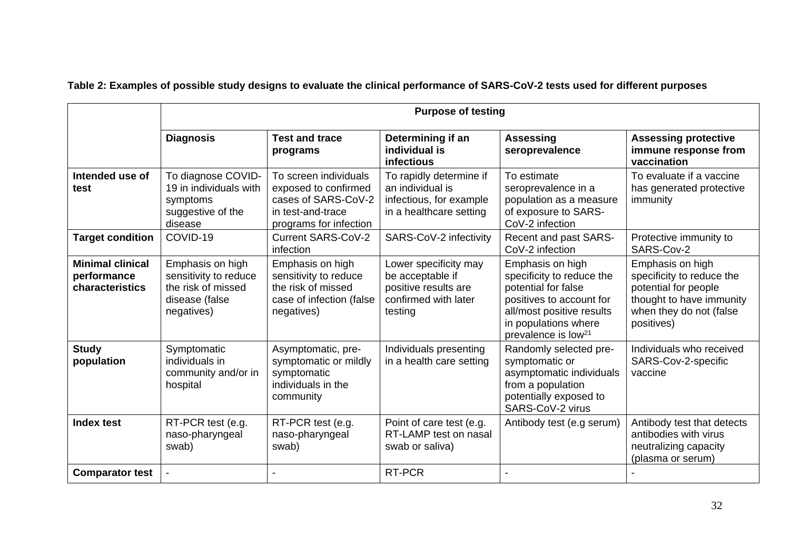|                                                           | <b>Purpose of testing</b>                                                                       |                                                                                                                     |                                                                                                      |                                                                                                                                                                                          |                                                                                                                                            |  |  |
|-----------------------------------------------------------|-------------------------------------------------------------------------------------------------|---------------------------------------------------------------------------------------------------------------------|------------------------------------------------------------------------------------------------------|------------------------------------------------------------------------------------------------------------------------------------------------------------------------------------------|--------------------------------------------------------------------------------------------------------------------------------------------|--|--|
|                                                           | <b>Diagnosis</b>                                                                                | <b>Test and trace</b><br>programs                                                                                   | Determining if an<br>individual is<br>infectious                                                     | <b>Assessing</b><br>seroprevalence                                                                                                                                                       | <b>Assessing protective</b><br>immune response from<br>vaccination                                                                         |  |  |
| Intended use of<br>test                                   | To diagnose COVID-<br>19 in individuals with<br>symptoms<br>suggestive of the<br>disease        | To screen individuals<br>exposed to confirmed<br>cases of SARS-CoV-2<br>in test-and-trace<br>programs for infection | To rapidly determine if<br>an individual is<br>infectious, for example<br>in a healthcare setting    | To estimate<br>seroprevalence in a<br>population as a measure<br>of exposure to SARS-<br>CoV-2 infection                                                                                 | To evaluate if a vaccine<br>has generated protective<br>immunity                                                                           |  |  |
| <b>Target condition</b>                                   | COVID-19                                                                                        | <b>Current SARS-CoV-2</b><br>infection                                                                              | SARS-CoV-2 infectivity                                                                               | Recent and past SARS-<br>CoV-2 infection                                                                                                                                                 | Protective immunity to<br>SARS-Cov-2                                                                                                       |  |  |
| <b>Minimal clinical</b><br>performance<br>characteristics | Emphasis on high<br>sensitivity to reduce<br>the risk of missed<br>disease (false<br>negatives) | Emphasis on high<br>sensitivity to reduce<br>the risk of missed<br>case of infection (false<br>negatives)           | Lower specificity may<br>be acceptable if<br>positive results are<br>confirmed with later<br>testing | Emphasis on high<br>specificity to reduce the<br>potential for false<br>positives to account for<br>all/most positive results<br>in populations where<br>prevalence is low <sup>21</sup> | Emphasis on high<br>specificity to reduce the<br>potential for people<br>thought to have immunity<br>when they do not (false<br>positives) |  |  |
| <b>Study</b><br>population                                | Symptomatic<br>individuals in<br>community and/or in<br>hospital                                | Asymptomatic, pre-<br>symptomatic or mildly<br>symptomatic<br>individuals in the<br>community                       | Individuals presenting<br>in a health care setting                                                   | Randomly selected pre-<br>symptomatic or<br>asymptomatic individuals<br>from a population<br>potentially exposed to<br>SARS-CoV-2 virus                                                  | Individuals who received<br>SARS-Cov-2-specific<br>vaccine                                                                                 |  |  |
| Index test                                                | RT-PCR test (e.g.<br>naso-pharyngeal<br>swab)                                                   | RT-PCR test (e.g.<br>naso-pharyngeal<br>swab)                                                                       | Point of care test (e.g.<br>RT-LAMP test on nasal<br>swab or saliva)                                 | Antibody test (e.g serum)                                                                                                                                                                | Antibody test that detects<br>antibodies with virus<br>neutralizing capacity<br>(plasma or serum)                                          |  |  |
| <b>Comparator test</b>                                    |                                                                                                 |                                                                                                                     | RT-PCR                                                                                               |                                                                                                                                                                                          |                                                                                                                                            |  |  |

# **Table 2: Examples of possible study designs to evaluate the clinical performance of SARS-CoV-2 tests used for different purposes**